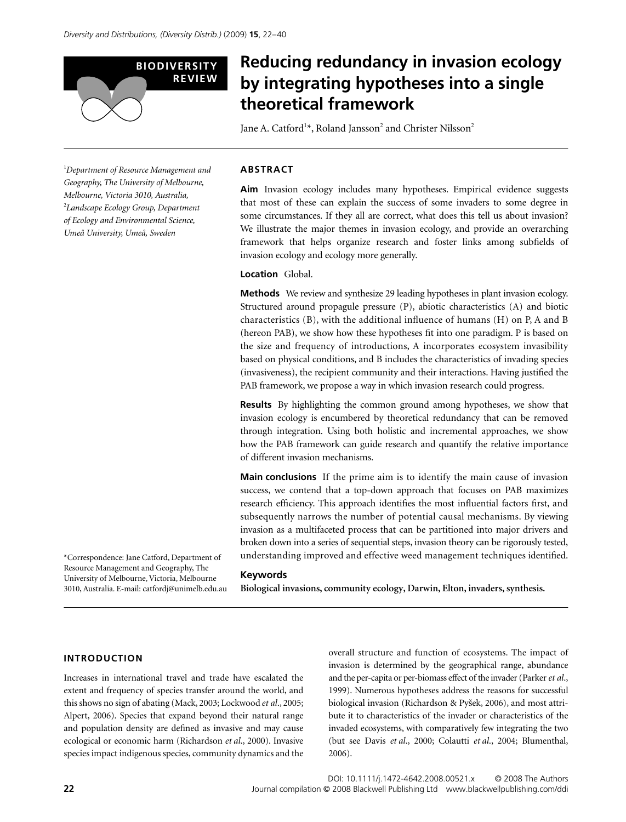

# **Reducing redundancy in invasion ecology by integrating hypotheses into a single theoretical framework**

Jane A. Catford<sup>1\*</sup>, Roland Jansson<sup>2</sup> and Christer Nilsson<sup>2</sup>

1 *Department of Resource Management and Geography, The University of Melbourne, Melbourne, Victoria 3010, Australia,*  2 *Landscape Ecology Group, Department of Ecology and Environmental Science, Umeå University, Umeå, Sweden*

# **ABSTRACT**

**Aim** Invasion ecology includes many hypotheses. Empirical evidence suggests that most of these can explain the success of some invaders to some degree in some circumstances. If they all are correct, what does this tell us about invasion? We illustrate the major themes in invasion ecology, and provide an overarching framework that helps organize research and foster links among subfields of invasion ecology and ecology more generally.

**Location** Global.

**Methods** We review and synthesize 29 leading hypotheses in plant invasion ecology. Structured around propagule pressure (P), abiotic characteristics (A) and biotic characteristics (B), with the additional influence of humans (H) on P, A and B (hereon PAB), we show how these hypotheses fit into one paradigm. P is based on the size and frequency of introductions, A incorporates ecosystem invasibility based on physical conditions, and B includes the characteristics of invading species (invasiveness), the recipient community and their interactions. Having justified the PAB framework, we propose a way in which invasion research could progress.

**Results** By highlighting the common ground among hypotheses, we show that invasion ecology is encumbered by theoretical redundancy that can be removed through integration. Using both holistic and incremental approaches, we show how the PAB framework can guide research and quantify the relative importance of different invasion mechanisms.

**Main conclusions** If the prime aim is to identify the main cause of invasion success, we contend that a top-down approach that focuses on PAB maximizes research efficiency. This approach identifies the most influential factors first, and subsequently narrows the number of potential causal mechanisms. By viewing invasion as a multifaceted process that can be partitioned into major drivers and broken down into a series of sequential steps, invasion theory can be rigorously tested, understanding improved and effective weed management techniques identified.

\*Correspondence: Jane Catford, Department of Resource Management and Geography, The University of Melbourne, Victoria, Melbourne 3010, Australia. E-mail: catfordj@unimelb.edu.au

**Keywords**

**Biological invasions, community ecology, Darwin, Elton, invaders, synthesis.**

# **INTRODUCTION**

Increases in international travel and trade have escalated the extent and frequency of species transfer around the world, and this shows no sign of abating (Mack, 2003; Lockwood *et al*., 2005; Alpert, 2006). Species that expand beyond their natural range and population density are defined as invasive and may cause ecological or economic harm (Richardson *et al*., 2000). Invasive species impact indigenous species, community dynamics and the overall structure and function of ecosystems. The impact of invasion is determined by the geographical range, abundance and the per-capita or per-biomass effect of the invader (Parker *et al*., 1999). Numerous hypotheses address the reasons for successful biological invasion (Richardson & Pysek, 2006), and most attribute it to characteristics of the invader or characteristics of the invaded ecosystems, with comparatively few integrating the two (but see Davis *et al*., 2000; Colautti *et al*., 2004; Blumenthal, 2006).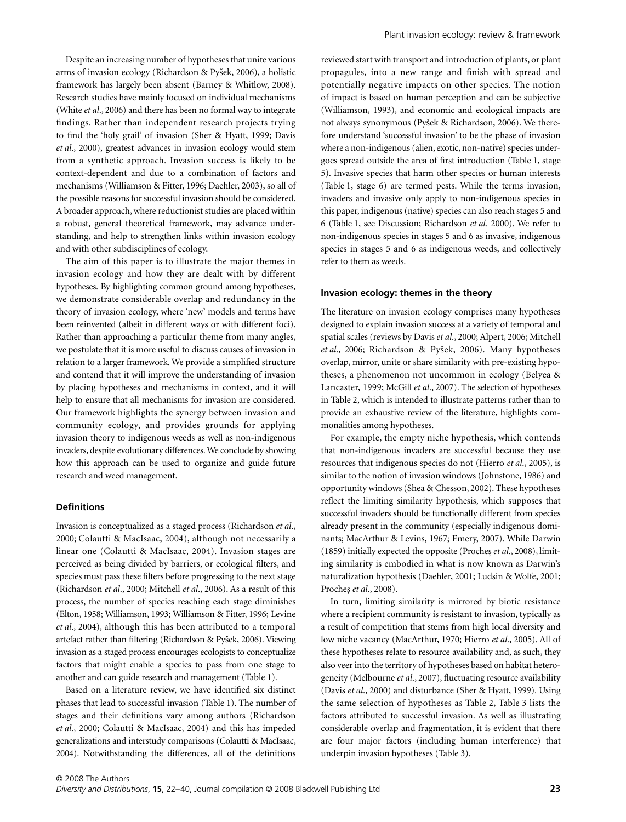Despite an increasing number of hypotheses that unite various arms of invasion ecology (Richardson & Pysek, 2006), a holistic framework has largely been absent (Barney & Whitlow, 2008). Research studies have mainly focused on individual mechanisms (White *et al*., 2006) and there has been no formal way to integrate findings. Rather than independent research projects trying to find the 'holy grail' of invasion (Sher & Hyatt, 1999; Davis *et al*., 2000), greatest advances in invasion ecology would stem from a synthetic approach. Invasion success is likely to be context-dependent and due to a combination of factors and mechanisms (Williamson & Fitter, 1996; Daehler, 2003), so all of the possible reasons for successful invasion should be considered. A broader approach, where reductionist studies are placed within a robust, general theoretical framework, may advance understanding, and help to strengthen links within invasion ecology and with other subdisciplines of ecology.

The aim of this paper is to illustrate the major themes in invasion ecology and how they are dealt with by different hypotheses. By highlighting common ground among hypotheses, we demonstrate considerable overlap and redundancy in the theory of invasion ecology, where 'new' models and terms have been reinvented (albeit in different ways or with different foci). Rather than approaching a particular theme from many angles, we postulate that it is more useful to discuss causes of invasion in relation to a larger framework. We provide a simplified structure and contend that it will improve the understanding of invasion by placing hypotheses and mechanisms in context, and it will help to ensure that all mechanisms for invasion are considered. Our framework highlights the synergy between invasion and community ecology, and provides grounds for applying invasion theory to indigenous weeds as well as non-indigenous invaders, despite evolutionary differences. We conclude by showing how this approach can be used to organize and guide future research and weed management.

## **Definitions**

Invasion is conceptualized as a staged process (Richardson *et al*., 2000; Colautti & MacIsaac, 2004), although not necessarily a linear one (Colautti & MacIsaac, 2004). Invasion stages are perceived as being divided by barriers, or ecological filters, and species must pass these filters before progressing to the next stage (Richardson *et al*., 2000; Mitchell *et al*., 2006). As a result of this process, the number of species reaching each stage diminishes (Elton, 1958; Williamson, 1993; Williamson & Fitter, 1996; Levine *et al*., 2004), although this has been attributed to a temporal artefact rather than filtering (Richardson & Pysek, 2006). Viewing invasion as a staged process encourages ecologists to conceptualize factors that might enable a species to pass from one stage to another and can guide research and management (Table 1).

Based on a literature review, we have identified six distinct phases that lead to successful invasion (Table 1). The number of stages and their definitions vary among authors (Richardson *et al*., 2000; Colautti & MacIsaac, 2004) and this has impeded generalizations and interstudy comparisons (Colautti & MacIsaac, 2004). Notwithstanding the differences, all of the definitions reviewed start with transport and introduction of plants, or plant propagules, into a new range and finish with spread and potentially negative impacts on other species. The notion of impact is based on human perception and can be subjective (Williamson, 1993), and economic and ecological impacts are not always synonymous (Pysek & Richardson, 2006). We therefore understand 'successful invasion' to be the phase of invasion where a non-indigenous (alien, exotic, non-native) species undergoes spread outside the area of first introduction (Table 1, stage 5). Invasive species that harm other species or human interests (Table 1, stage 6) are termed pests. While the terms invasion, invaders and invasive only apply to non-indigenous species in this paper, indigenous (native) species can also reach stages 5 and 6 (Table 1, see Discussion; Richardson *et al.* 2000). We refer to non-indigenous species in stages 5 and 6 as invasive, indigenous species in stages 5 and 6 as indigenous weeds, and collectively refer to them as weeds.

#### **Invasion ecology: themes in the theory**

The literature on invasion ecology comprises many hypotheses designed to explain invasion success at a variety of temporal and spatial scales (reviews by Davis *et al*., 2000; Alpert, 2006; Mitchell *et al*., 2006; Richardson & Pysek, 2006). Many hypotheses overlap, mirror, unite or share similarity with pre-existing hypotheses, a phenomenon not uncommon in ecology (Belyea & Lancaster, 1999; McGill *et al*., 2007). The selection of hypotheses in Table 2, which is intended to illustrate patterns rather than to provide an exhaustive review of the literature, highlights commonalities among hypotheses.

For example, the empty niche hypothesis, which contends that non-indigenous invaders are successful because they use resources that indigenous species do not (Hierro *et al*., 2005), is similar to the notion of invasion windows (Johnstone, 1986) and opportunity windows (Shea & Chesson, 2002). These hypotheses reflect the limiting similarity hypothesis, which supposes that successful invaders should be functionally different from species already present in the community (especially indigenous dominants; MacArthur & Levins, 1967; Emery, 2007). While Darwin (1859) initially expected the opposite (Procheș et al., 2008), limiting similarity is embodied in what is now known as Darwin's naturalization hypothesis (Daehler, 2001; Ludsin & Wolfe, 2001; Proche*4 et al*., 2008).

In turn, limiting similarity is mirrored by biotic resistance where a recipient community is resistant to invasion, typically as a result of competition that stems from high local diversity and low niche vacancy (MacArthur, 1970; Hierro *et al*., 2005). All of these hypotheses relate to resource availability and, as such, they also veer into the territory of hypotheses based on habitat heterogeneity (Melbourne *et al*., 2007), fluctuating resource availability (Davis *et al*., 2000) and disturbance (Sher & Hyatt, 1999). Using the same selection of hypotheses as Table 2, Table 3 lists the factors attributed to successful invasion. As well as illustrating considerable overlap and fragmentation, it is evident that there are four major factors (including human interference) that underpin invasion hypotheses (Table 3).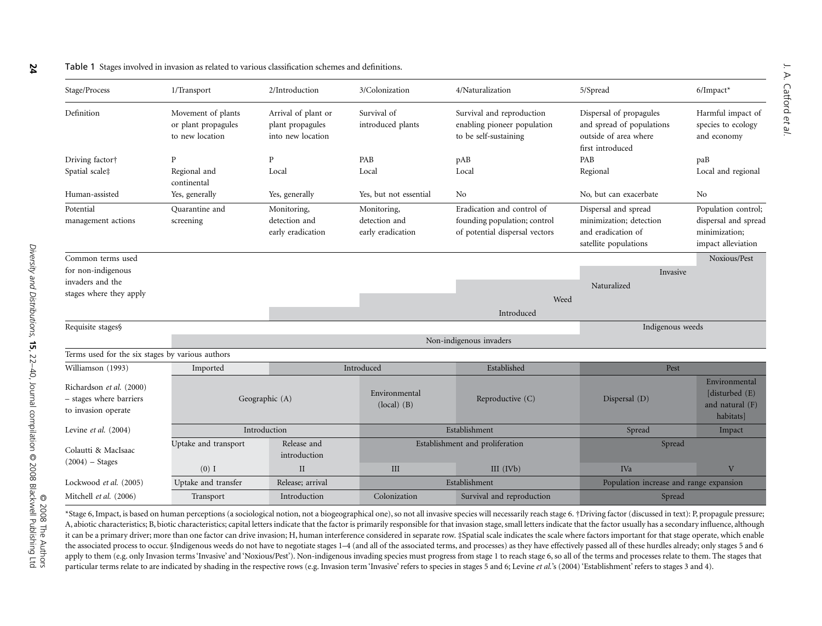|                                                  | 1/Transport                 | 2/Introduction      | 3/Colonization         | 4/Naturalization                | 5/Spread                                  | $6/Im$ pact*                                                    |
|--------------------------------------------------|-----------------------------|---------------------|------------------------|---------------------------------|-------------------------------------------|-----------------------------------------------------------------|
| Definition                                       | Movement of plants          | Arrival of plant or | Survival of            | Survival and reproduction       | Dispersal of propagules                   | Harmful impact of                                               |
|                                                  | or plant propagules         | plant propagules    | introduced plants      | enabling pioneer population     | and spread of populations                 | species to ecology                                              |
|                                                  | to new location             | into new location   |                        | to be self-sustaining           | outside of area where<br>first introduced | and economy                                                     |
| Driving factor†                                  |                             | P                   | PAB                    | pAB                             | PAB                                       | paB                                                             |
| Spatial scale‡                                   | Regional and<br>continental | Local               | Local                  | Local                           | Regional                                  | Local and regional                                              |
| Human-assisted                                   | Yes, generally              | Yes, generally      | Yes, but not essential | No                              | No, but can exacerbate                    | N <sub>o</sub>                                                  |
| Potential                                        | Quarantine and              | Monitoring,         | Monitoring,            | Eradication and control of      | Dispersal and spread                      | Population control;                                             |
| management actions                               | screening                   | detection and       | detection and          | founding population; control    | minimization; detection                   | dispersal and spread                                            |
|                                                  |                             | early eradication   | early eradication      | of potential dispersal vectors  | and eradication of                        | minimization;                                                   |
|                                                  |                             |                     |                        |                                 | satellite populations                     | impact alleviation                                              |
| Common terms used                                |                             |                     |                        |                                 |                                           | Noxious/Pest                                                    |
| for non-indigenous                               |                             |                     |                        |                                 | Invasive                                  |                                                                 |
| invaders and the                                 |                             |                     |                        |                                 | Naturalized                               |                                                                 |
| stages where they apply                          |                             |                     |                        | Weed                            |                                           |                                                                 |
|                                                  |                             |                     |                        | Introduced                      |                                           |                                                                 |
|                                                  |                             |                     |                        |                                 | Indigenous weeds                          |                                                                 |
| Requisite stages§                                |                             |                     |                        |                                 |                                           |                                                                 |
|                                                  |                             |                     |                        | Non-indigenous invaders         |                                           |                                                                 |
| Terms used for the six stages by various authors |                             |                     |                        |                                 |                                           |                                                                 |
| Williamson (1993)                                | Imported                    |                     | Introduced             | Established                     | Pest                                      |                                                                 |
| Richardson et al. (2000)                         |                             |                     |                        |                                 |                                           |                                                                 |
| - stages where barriers                          |                             | Geographic (A)      | Environmental          | Reproductive (C)                | Dispersal (D)                             |                                                                 |
| to invasion operate                              |                             |                     | $(local)$ $(B)$        |                                 |                                           | Environmental<br>[disturbed (E)<br>and natural (F)<br>habitats] |
| Levine $et$ al. $(2004)$                         |                             | Introduction        |                        | Establishment                   | Spread                                    | Impact                                                          |
|                                                  | Uptake and transport        | Release and         |                        | Establishment and proliferation | Spread                                    |                                                                 |
| Colautti & MacIsaac                              |                             | introduction        |                        |                                 |                                           |                                                                 |
| $(2004)$ – Stages                                | $(0)$ I                     | $\mathbf{I}$        | III                    | III (IVb)                       | <b>IVa</b>                                | V                                                               |
| Lockwood et al. (2005)                           | Uptake and transfer         | Release; arrival    |                        | Establishment                   | Population increase and range expansion   |                                                                 |

\*Stage 6, Impact, is based on human perceptions (a sociological notion, not a biogeographical one), so not all invasive species will necessarily reach stage 6. †Driving factor (discussed in text): P, propagule pressure; A, abiotic characteristics: B, biotic characteristics: capital letters indicate that the factor is primarily responsible for that invasion stage, small letters indicate that the factor usually has a secondary influence, al it can be a primary driver; more than one factor can drive invasion; H, human interference considered in separate row. ‡Spatial scale indicates the scale where factors important for that stage operate, which enable the associated process to occur. §Indigenous weeds do not have to negotiate stages 1-4 (and all of the associated terms, and processes) as they have effectively passed all of these hurdles already; only stages 5 and 6 apply to them (e.g. only Invasion terms 'Invasive' and 'Noxious/Pest'). Non-indigenous invading species must progress from stage 1 to reach stage 6, so all of the terms and processes relate to them. The stages that particular terms relate to are indicated by shading in the respective rows (e.g. Invasion term 'Invasive' refers to species in stages 5 and 6; Levine *et al.*'s (2004) 'Establishment' refers to stages 3 and 4).

**24**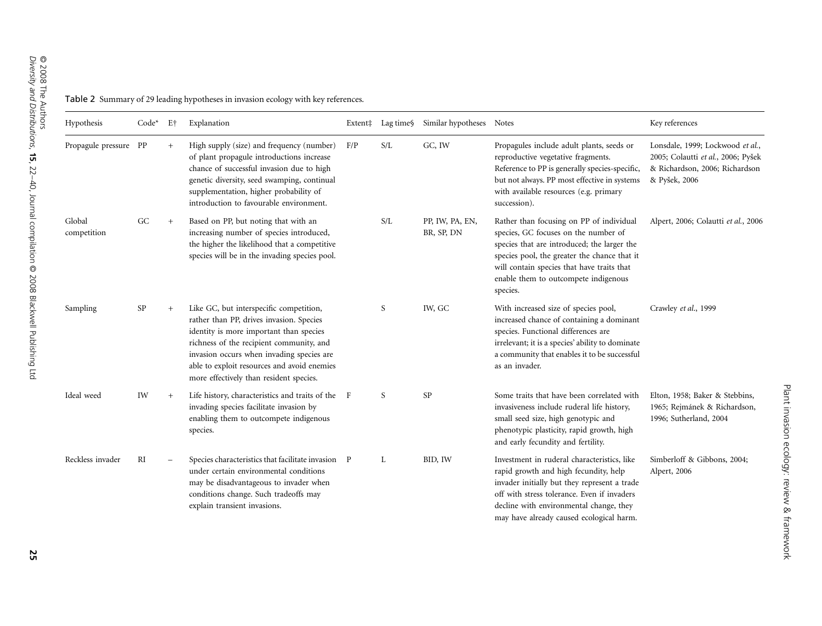|  |  | Table 2 Summary of 29 leading hypotheses in invasion ecology with key references. |  |  |  |
|--|--|-----------------------------------------------------------------------------------|--|--|--|
|--|--|-----------------------------------------------------------------------------------|--|--|--|

| Hypothesis            | $Code*$   | E†     | Explanation                                                                                                                                                                                                                                                                                                       | Extent‡ | Lag time§ | Similar hypotheses Notes      |                                                                                                                                                                                                                                                                                   | Key references                                                                                                            |
|-----------------------|-----------|--------|-------------------------------------------------------------------------------------------------------------------------------------------------------------------------------------------------------------------------------------------------------------------------------------------------------------------|---------|-----------|-------------------------------|-----------------------------------------------------------------------------------------------------------------------------------------------------------------------------------------------------------------------------------------------------------------------------------|---------------------------------------------------------------------------------------------------------------------------|
| Propagule pressure PP |           | $+$    | High supply (size) and frequency (number)<br>of plant propagule introductions increase<br>chance of successful invasion due to high<br>genetic diversity, seed swamping, continual<br>supplementation, higher probability of<br>introduction to favourable environment.                                           | F/P     | S/L       | GC, IW                        | Propagules include adult plants, seeds or<br>reproductive vegetative fragments.<br>Reference to PP is generally species-specific,<br>but not always. PP most effective in systems<br>with available resources (e.g. primary<br>succession).                                       | Lonsdale, 1999; Lockwood et al.,<br>2005; Colautti et al., 2006; Pyšek<br>& Richardson, 2006; Richardson<br>& Pyšek, 2006 |
| Global<br>competition | GC        | $^{+}$ | Based on PP, but noting that with an<br>increasing number of species introduced,<br>the higher the likelihood that a competitive<br>species will be in the invading species pool.                                                                                                                                 |         | S/L       | PP, IW, PA, EN,<br>BR, SP, DN | Rather than focusing on PP of individual<br>species, GC focuses on the number of<br>species that are introduced; the larger the<br>species pool, the greater the chance that it<br>will contain species that have traits that<br>enable them to outcompete indigenous<br>species. | Alpert, 2006; Colautti et al., 2006                                                                                       |
| Sampling              | <b>SP</b> | $+$    | Like GC, but interspecific competition,<br>rather than PP, drives invasion. Species<br>identity is more important than species<br>richness of the recipient community, and<br>invasion occurs when invading species are<br>able to exploit resources and avoid enemies<br>more effectively than resident species. |         | S         | IW, GC                        | With increased size of species pool,<br>increased chance of containing a dominant<br>species. Functional differences are<br>irrelevant; it is a species' ability to dominate<br>a community that enables it to be successful<br>as an invader.                                    | Crawley et al., 1999                                                                                                      |
| Ideal weed            | IW        | $^{+}$ | Life history, characteristics and traits of the F<br>invading species facilitate invasion by<br>enabling them to outcompete indigenous<br>species.                                                                                                                                                                |         | S         | <b>SP</b>                     | Some traits that have been correlated with<br>invasiveness include ruderal life history,<br>small seed size, high genotypic and<br>phenotypic plasticity, rapid growth, high<br>and early fecundity and fertility.                                                                | Elton, 1958; Baker & Stebbins,<br>1965; Rejmánek & Richardson,<br>1996; Sutherland, 2004                                  |
| Reckless invader      | <b>RI</b> |        | Species characteristics that facilitate invasion P<br>under certain environmental conditions<br>may be disadvantageous to invader when<br>conditions change. Such tradeoffs may<br>explain transient invasions.                                                                                                   |         | L         | BID, IW                       | Investment in ruderal characteristics, like<br>rapid growth and high fecundity, help<br>invader initially but they represent a trade<br>off with stress tolerance. Even if invaders<br>decline with environmental change, they<br>may have already caused ecological harm.        | Simberloff & Gibbons, 2004;<br>Alpert, 2006                                                                               |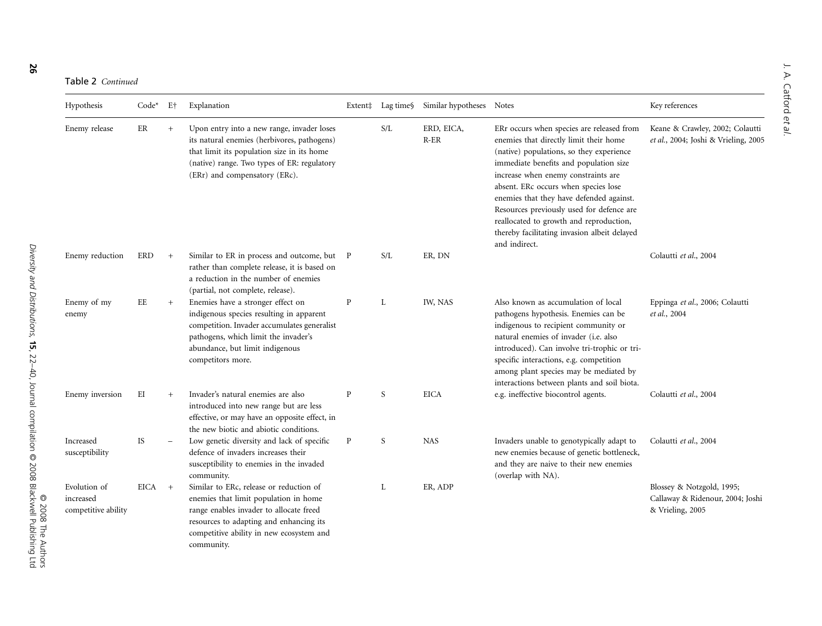| Table 2 Continued |
|-------------------|
|                   |

| Hypothesis                                       | $Code*$   | E†                       | Explanation                                                                                                                                                                                                                      |              |     | Extent‡ Lag time§ Similar hypotheses Notes |                                                                                                                                                                                                                                                                                                                                                                                                                                                               | Key references                                                                    |
|--------------------------------------------------|-----------|--------------------------|----------------------------------------------------------------------------------------------------------------------------------------------------------------------------------------------------------------------------------|--------------|-----|--------------------------------------------|---------------------------------------------------------------------------------------------------------------------------------------------------------------------------------------------------------------------------------------------------------------------------------------------------------------------------------------------------------------------------------------------------------------------------------------------------------------|-----------------------------------------------------------------------------------|
| Enemy release                                    | ER<br>$+$ |                          | Upon entry into a new range, invader loses<br>its natural enemies (herbivores, pathogens)<br>that limit its population size in its home<br>(native) range. Two types of ER: regulatory<br>(ERr) and compensatory (ERc).          | S/L          |     | ERD, EICA,<br>$R$ -ER                      | ERr occurs when species are released from<br>enemies that directly limit their home<br>(native) populations, so they experience<br>immediate benefits and population size<br>increase when enemy constraints are<br>absent. ERc occurs when species lose<br>enemies that they have defended against.<br>Resources previously used for defence are<br>reallocated to growth and reproduction,<br>thereby facilitating invasion albeit delayed<br>and indirect. | Keane & Crawley, 2002; Colautti<br>et al., 2004; Joshi & Vrieling, 2005           |
| Enemy reduction                                  | ERD       | $+$                      | Similar to ER in process and outcome, but P<br>rather than complete release, it is based on<br>a reduction in the number of enemies<br>(partial, not complete, release).                                                         |              | S/L | ER, DN                                     |                                                                                                                                                                                                                                                                                                                                                                                                                                                               | Colautti et al., 2004                                                             |
| Enemy of my<br>enemy                             | EE        | $+$                      | Enemies have a stronger effect on<br>indigenous species resulting in apparent<br>competition. Invader accumulates generalist<br>pathogens, which limit the invader's<br>abundance, but limit indigenous<br>competitors more.     | P            | L   | IW, NAS                                    | Also known as accumulation of local<br>pathogens hypothesis. Enemies can be<br>indigenous to recipient community or<br>natural enemies of invader (i.e. also<br>introduced). Can involve tri-trophic or tri-<br>specific interactions, e.g. competition<br>among plant species may be mediated by<br>interactions between plants and soil biota.                                                                                                              | Eppinga et al., 2006; Colautti<br>et al., 2004                                    |
| Enemy inversion                                  | EI        | $^{+}$                   | Invader's natural enemies are also<br>introduced into new range but are less<br>effective, or may have an opposite effect, in<br>the new biotic and abiotic conditions.                                                          | ${\bf P}$    | S   | <b>EICA</b>                                | e.g. ineffective biocontrol agents.                                                                                                                                                                                                                                                                                                                                                                                                                           | Colautti et al., 2004                                                             |
| Increased<br>susceptibility                      | <b>IS</b> | $\overline{\phantom{0}}$ | Low genetic diversity and lack of specific<br>defence of invaders increases their<br>susceptibility to enemies in the invaded<br>community.                                                                                      | $\, {\bf P}$ | S   | <b>NAS</b>                                 | Invaders unable to genotypically adapt to<br>new enemies because of genetic bottleneck,<br>and they are naive to their new enemies<br>(overlap with NA).                                                                                                                                                                                                                                                                                                      | Colautti et al., 2004                                                             |
| Evolution of<br>increased<br>competitive ability | EICA      | $+$                      | Similar to ERc, release or reduction of<br>enemies that limit population in home<br>range enables invader to allocate freed<br>resources to adapting and enhancing its<br>competitive ability in new ecosystem and<br>community. |              | L   | ER, ADP                                    |                                                                                                                                                                                                                                                                                                                                                                                                                                                               | Blossey & Notzgold, 1995;<br>Callaway & Ridenour, 2004; Joshi<br>& Vrieling, 2005 |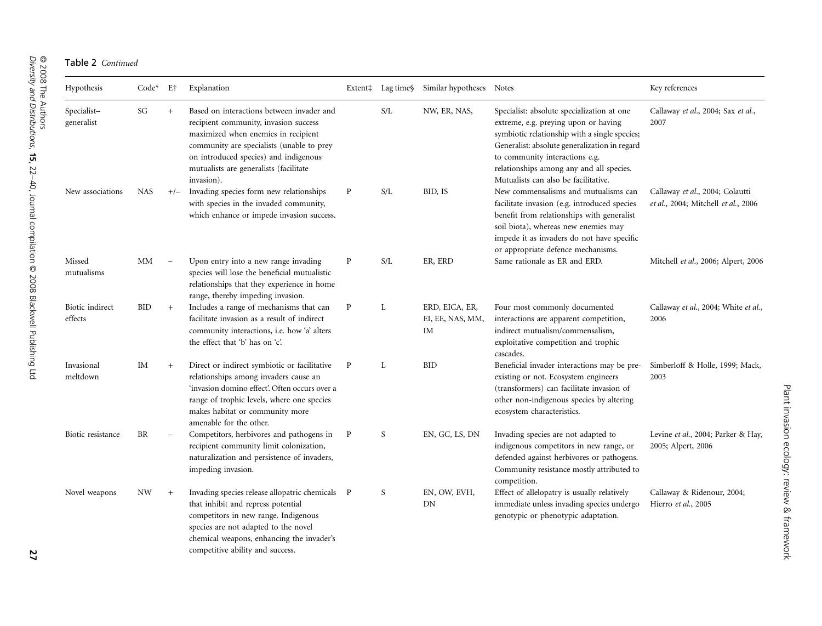#### Table 2 *Continued*

| Hypothesis                 | $Code*$    | E†                       | Explanation                                                                                                                                                                                                                                                             |   | Extent‡ Lag time§ | Similar hypotheses Notes                 |                                                                                                                                                                                                                                                                                                            | Key references                                                         |
|----------------------------|------------|--------------------------|-------------------------------------------------------------------------------------------------------------------------------------------------------------------------------------------------------------------------------------------------------------------------|---|-------------------|------------------------------------------|------------------------------------------------------------------------------------------------------------------------------------------------------------------------------------------------------------------------------------------------------------------------------------------------------------|------------------------------------------------------------------------|
| Specialist-<br>generalist  | SG         | $+$                      | Based on interactions between invader and<br>recipient community, invasion success<br>maximized when enemies in recipient<br>community are specialists (unable to prey<br>on introduced species) and indigenous<br>mutualists are generalists (facilitate<br>invasion). |   | S/L               | NW, ER, NAS,                             | Specialist: absolute specialization at one<br>extreme, e.g. preying upon or having<br>symbiotic relationship with a single species;<br>Generalist: absolute generalization in regard<br>to community interactions e.g.<br>relationships among any and all species.<br>Mutualists can also be facilitative. | Callaway et al., 2004; Sax et al.,<br>2007                             |
| New associations           | <b>NAS</b> | $+/-$                    | Invading species form new relationships<br>with species in the invaded community,<br>which enhance or impede invasion success.                                                                                                                                          | P | S/L               | BID, IS                                  | New commensalisms and mutualisms can<br>facilitate invasion (e.g. introduced species<br>benefit from relationships with generalist<br>soil biota), whereas new enemies may<br>impede it as invaders do not have specific<br>or appropriate defence mechanisms.                                             | Callaway et al., 2004; Colautti<br>et al., 2004; Mitchell et al., 2006 |
| Missed<br>mutualisms       | MM         | $\overline{\phantom{0}}$ | Upon entry into a new range invading<br>species will lose the beneficial mutualistic<br>relationships that they experience in home<br>range, thereby impeding invasion.                                                                                                 | P | S/L               | ER, ERD                                  | Same rationale as ER and ERD.                                                                                                                                                                                                                                                                              | Mitchell et al., 2006; Alpert, 2006                                    |
| Biotic indirect<br>effects | <b>BID</b> | $^{+}$                   | Includes a range of mechanisms that can<br>facilitate invasion as a result of indirect<br>community interactions, i.e. how 'a' alters<br>the effect that 'b' has on 'c'.                                                                                                | P | L                 | ERD, EICA, ER,<br>EI, EE, NAS, MM,<br>IM | Four most commonly documented<br>interactions are apparent competition,<br>indirect mutualism/commensalism,<br>exploitative competition and trophic<br>cascades.                                                                                                                                           | Callaway et al., 2004; White et al.,<br>2006                           |
| Invasional<br>meltdown     | IM         | $^{+}$                   | Direct or indirect symbiotic or facilitative<br>relationships among invaders cause an<br>'invasion domino effect'. Often occurs over a<br>range of trophic levels, where one species<br>makes habitat or community more<br>amenable for the other.                      | P | L                 | <b>BID</b>                               | Beneficial invader interactions may be pre-<br>existing or not. Ecosystem engineers<br>(transformers) can facilitate invasion of<br>other non-indigenous species by altering<br>ecosystem characteristics.                                                                                                 | Simberloff & Holle, 1999; Mack,<br>2003                                |
| Biotic resistance          | BR         | $\overline{\phantom{a}}$ | Competitors, herbivores and pathogens in<br>recipient community limit colonization,<br>naturalization and persistence of invaders,<br>impeding invasion.                                                                                                                | P | S                 | EN, GC, LS, DN                           | Invading species are not adapted to<br>indigenous competitors in new range, or<br>defended against herbivores or pathogens.<br>Community resistance mostly attributed to<br>competition.                                                                                                                   | Levine et al., 2004; Parker & Hay,<br>2005; Alpert, 2006               |
| Novel weapons              | <b>NW</b>  | $^{+}$                   | Invading species release allopatric chemicals P<br>that inhibit and repress potential<br>competitors in new range. Indigenous<br>species are not adapted to the novel<br>chemical weapons, enhancing the invader's<br>competitive ability and success.                  |   | S                 | EN, OW, EVH,<br>DN                       | Effect of allelopatry is usually relatively<br>immediate unless invading species undergo<br>genotypic or phenotypic adaptation.                                                                                                                                                                            | Callaway & Ridenour, 2004;<br>Hierro et al., 2005                      |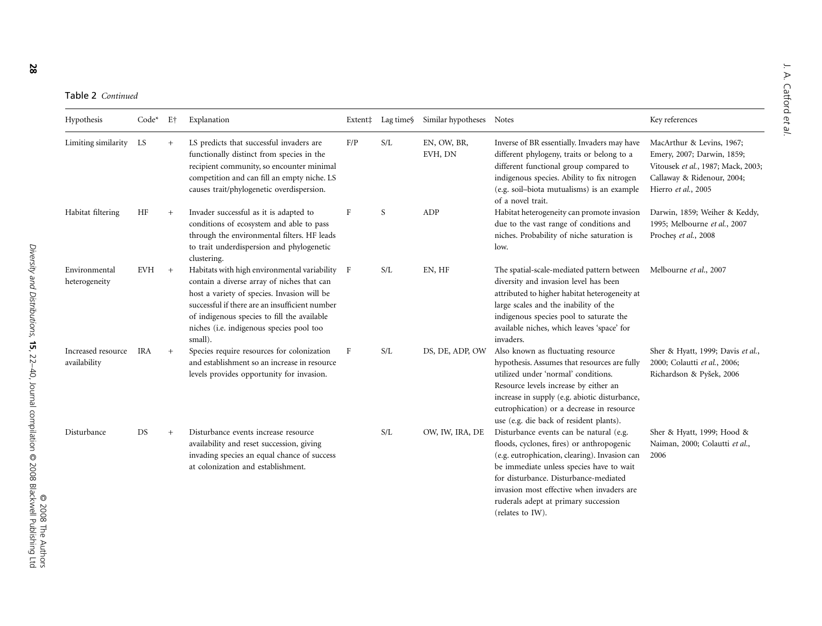|  |  | Table 2 Continued |
|--|--|-------------------|
|--|--|-------------------|

| Hypothesis                         | $Code*$    | E†     | Explanation                                                                                                                                                                                                                                                                                         | Extent‡      | Lag time§ | Similar hypotheses Notes |                                                                                                                                                                                                                                                                                                                                     | Key references                                                                                                                                     |
|------------------------------------|------------|--------|-----------------------------------------------------------------------------------------------------------------------------------------------------------------------------------------------------------------------------------------------------------------------------------------------------|--------------|-----------|--------------------------|-------------------------------------------------------------------------------------------------------------------------------------------------------------------------------------------------------------------------------------------------------------------------------------------------------------------------------------|----------------------------------------------------------------------------------------------------------------------------------------------------|
| Limiting similarity                | LS         | $+$    | LS predicts that successful invaders are<br>functionally distinct from species in the<br>recipient community, so encounter minimal<br>competition and can fill an empty niche. LS<br>causes trait/phylogenetic overdispersion.                                                                      | F/P          | S/L       | EN, OW, BR,<br>EVH, DN   | Inverse of BR essentially. Invaders may have<br>different phylogeny, traits or belong to a<br>different functional group compared to<br>indigenous species. Ability to fix nitrogen<br>(e.g. soil-biota mutualisms) is an example<br>of a novel trait.                                                                              | MacArthur & Levins, 1967;<br>Emery, 2007; Darwin, 1859;<br>Vitousek et al., 1987; Mack, 2003;<br>Callaway & Ridenour, 2004;<br>Hierro et al., 2005 |
| Habitat filtering                  | HF         | $^{+}$ | Invader successful as it is adapted to<br>conditions of ecosystem and able to pass<br>through the environmental filters. HF leads<br>to trait underdispersion and phylogenetic<br>clustering.                                                                                                       | $\rm F$      | S         | ADP                      | Habitat heterogeneity can promote invasion<br>due to the vast range of conditions and<br>niches. Probability of niche saturation is<br>low.                                                                                                                                                                                         | Darwin, 1859; Weiher & Keddy,<br>1995; Melbourne et al., 2007<br>Proches et al., 2008                                                              |
| Environmental<br>heterogeneity     | <b>EVH</b> | $+$    | Habitats with high environmental variability F<br>contain a diverse array of niches that can<br>host a variety of species. Invasion will be<br>successful if there are an insufficient number<br>of indigenous species to fill the available<br>niches (i.e. indigenous species pool too<br>small). |              | S/L       | EN, HF                   | The spatial-scale-mediated pattern between Melbourne et al., 2007<br>diversity and invasion level has been<br>attributed to higher habitat heterogeneity at<br>large scales and the inability of the<br>indigenous species pool to saturate the<br>available niches, which leaves 'space' for<br>invaders.                          |                                                                                                                                                    |
| Increased resource<br>availability | IRA        | $+$    | Species require resources for colonization<br>and establishment so an increase in resource<br>levels provides opportunity for invasion.                                                                                                                                                             | $\mathbf{F}$ | S/L       | DS, DE, ADP, OW          | Also known as fluctuating resource<br>hypothesis. Assumes that resources are fully<br>utilized under 'normal' conditions.<br>Resource levels increase by either an<br>increase in supply (e.g. abiotic disturbance,<br>eutrophication) or a decrease in resource<br>use (e.g. die back of resident plants).                         | Sher & Hyatt, 1999; Davis et al.,<br>2000; Colautti et al., 2006;<br>Richardson & Pyšek, 2006                                                      |
| Disturbance                        | DS         | $+$    | Disturbance events increase resource<br>availability and reset succession, giving<br>invading species an equal chance of success<br>at colonization and establishment.                                                                                                                              |              | S/L       | OW, IW, IRA, DE          | Disturbance events can be natural (e.g.<br>floods, cyclones, fires) or anthropogenic<br>(e.g. eutrophication, clearing). Invasion can<br>be immediate unless species have to wait<br>for disturbance. Disturbance-mediated<br>invasion most effective when invaders are<br>ruderals adept at primary succession<br>(relates to IW). | Sher & Hyatt, 1999; Hood &<br>Naiman, 2000; Colautti et al.,<br>2006                                                                               |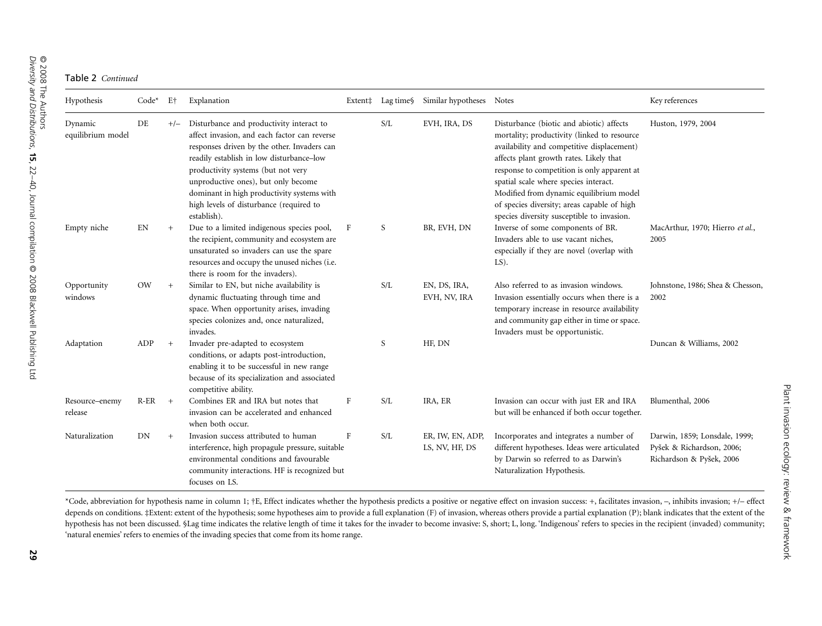#### Table 2 *Continued*

| Hypothesis                   | $Code*$   | E†     | Explanation                                                                                                                                                                                                                                                                                                                                                              | Extent‡ | Lag time§ | Similar hypotheses Notes           |                                                                                                                                                                                                                                                                                                                                                                                                                  | Key references                                                                         |
|------------------------------|-----------|--------|--------------------------------------------------------------------------------------------------------------------------------------------------------------------------------------------------------------------------------------------------------------------------------------------------------------------------------------------------------------------------|---------|-----------|------------------------------------|------------------------------------------------------------------------------------------------------------------------------------------------------------------------------------------------------------------------------------------------------------------------------------------------------------------------------------------------------------------------------------------------------------------|----------------------------------------------------------------------------------------|
| Dynamic<br>equilibrium model | DE        | $+/-$  | Disturbance and productivity interact to<br>affect invasion, and each factor can reverse<br>responses driven by the other. Invaders can<br>readily establish in low disturbance-low<br>productivity systems (but not very<br>unproductive ones), but only become<br>dominant in high productivity systems with<br>high levels of disturbance (required to<br>establish). |         | S/L       | EVH, IRA, DS                       | Disturbance (biotic and abiotic) affects<br>mortality; productivity (linked to resource<br>availability and competitive displacement)<br>affects plant growth rates. Likely that<br>response to competition is only apparent at<br>spatial scale where species interact.<br>Modified from dynamic equilibrium model<br>of species diversity; areas capable of high<br>species diversity susceptible to invasion. | Huston, 1979, 2004                                                                     |
| Empty niche                  | EN        | $^{+}$ | Due to a limited indigenous species pool,<br>the recipient, community and ecosystem are<br>unsaturated so invaders can use the spare<br>resources and occupy the unused niches (i.e.<br>there is room for the invaders).                                                                                                                                                 | F       | S         | BR, EVH, DN                        | Inverse of some components of BR.<br>Invaders able to use vacant niches,<br>especially if they are novel (overlap with<br>$LS$ ).                                                                                                                                                                                                                                                                                | MacArthur, 1970; Hierro et al.,<br>2005                                                |
| Opportunity<br>windows       | <b>OW</b> | $+$    | Similar to EN, but niche availability is<br>dynamic fluctuating through time and<br>space. When opportunity arises, invading<br>species colonizes and, once naturalized,<br>invades.                                                                                                                                                                                     |         | S/L       | EN, DS, IRA,<br>EVH, NV, IRA       | Also referred to as invasion windows.<br>Invasion essentially occurs when there is a<br>temporary increase in resource availability<br>and community gap either in time or space.<br>Invaders must be opportunistic.                                                                                                                                                                                             | Johnstone, 1986; Shea & Chesson,<br>2002                                               |
| Adaptation                   | ADP       | $+$    | Invader pre-adapted to ecosystem<br>conditions, or adapts post-introduction,<br>enabling it to be successful in new range<br>because of its specialization and associated<br>competitive ability.                                                                                                                                                                        |         | S         | HF, DN                             |                                                                                                                                                                                                                                                                                                                                                                                                                  | Duncan & Williams, 2002                                                                |
| Resource-enemy<br>release    | $R$ -ER   | $+$    | Combines ER and IRA but notes that<br>invasion can be accelerated and enhanced<br>when both occur.                                                                                                                                                                                                                                                                       | F       | S/L       | IRA, ER                            | Invasion can occur with just ER and IRA<br>but will be enhanced if both occur together.                                                                                                                                                                                                                                                                                                                          | Blumenthal, 2006                                                                       |
| Naturalization               | DN        | $+$    | Invasion success attributed to human<br>interference, high propagule pressure, suitable<br>environmental conditions and favourable<br>community interactions. HF is recognized but<br>focuses on LS.                                                                                                                                                                     | F       | S/L       | ER, IW, EN, ADP,<br>LS, NV, HF, DS | Incorporates and integrates a number of<br>different hypotheses. Ideas were articulated<br>by Darwin so referred to as Darwin's<br>Naturalization Hypothesis.                                                                                                                                                                                                                                                    | Darwin, 1859; Lonsdale, 1999;<br>Pyšek & Richardson, 2006;<br>Richardson & Pyšek, 2006 |

\*Code, abbreviation for hypothesis name in column 1; †E, Effect indicates whether the hypothesis predicts a positive or negative effect on invasion success: +, facilitates invasion, –, inhibits invasion; +/– effect depends on conditions. ‡Extent: extent of the hypothesis; some hypotheses aim to provide a full explanation (F) of invasion, whereas others provide a partial explanation (P); blank indicates that the extent of the hypothesis has not been discussed. §Lag time indicates the relative length of time it takes for the invader to become invasive: S, short; L, long. 'Indigenous' refers to species in the recipient (invaded) community; 'natural enemies' refers to enemies of the invading species that come from its home range.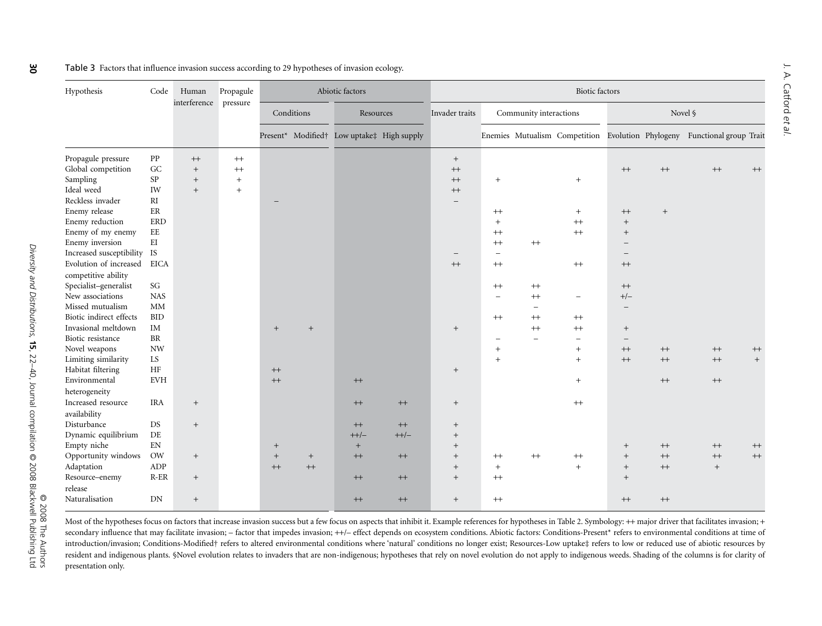| Hypothesis                                            | Code                 | Human<br>interference pressure   | Propagule |                          |                            | Abiotic factors       |                                            |                |                |                                     | <b>Biotic</b> factors    |                          |               |                                                                          |                        |
|-------------------------------------------------------|----------------------|----------------------------------|-----------|--------------------------|----------------------------|-----------------------|--------------------------------------------|----------------|----------------|-------------------------------------|--------------------------|--------------------------|---------------|--------------------------------------------------------------------------|------------------------|
|                                                       |                      |                                  |           |                          | Conditions                 |                       | Resources                                  |                | Invader traits | Community interactions              |                          | Novel §                  |               |                                                                          |                        |
|                                                       |                      |                                  |           |                          |                            |                       | Present* Modified† Low uptake‡ High supply |                |                |                                     |                          |                          |               | Enemies Mutualism Competition Evolution Phylogeny Functional group Trait |                        |
| Propagule pressure                                    | PP                   | $^{+}$                           | $^{+}$    |                          |                            |                       |                                            | $+$            |                |                                     |                          |                          |               |                                                                          |                        |
| Global competition                                    | ${\rm GC}$           |                                  | $^{+}$    |                          |                            |                       |                                            | $^{++}$        |                |                                     |                          | $^{++}$                  | $^{++}$       | $^{++}$                                                                  | $^{++}$                |
| Sampling                                              | ${\rm SP}$           | $\qquad \qquad +$                | $+$       |                          |                            |                       |                                            | $^{++}$        | $\overline{+}$ |                                     | $^{+}$                   |                          |               |                                                                          |                        |
| Ideal weed                                            | IW                   | $+$                              | $+$       |                          |                            |                       |                                            | $^{++}$        |                |                                     |                          |                          |               |                                                                          |                        |
| Reckless invader                                      | RI                   |                                  |           |                          |                            |                       |                                            |                |                |                                     |                          |                          |               |                                                                          |                        |
| Enemy release                                         | ER                   |                                  |           |                          |                            |                       |                                            |                | $^{++}$        |                                     | $^{+}$                   | $^{++}$                  | $^{+}$        |                                                                          |                        |
| Enemy reduction                                       | <b>ERD</b>           |                                  |           |                          |                            |                       |                                            |                | $^{+}$         |                                     | $^{++}$                  | $\! + \!\!\!\!$          |               |                                                                          |                        |
| Enemy of my enemy                                     | EE                   |                                  |           |                          |                            |                       |                                            |                | $^{++}$        |                                     | $^{++}$                  | $^{+}$                   |               |                                                                          |                        |
| Enemy inversion                                       | ΕI                   |                                  |           |                          |                            |                       |                                            |                | $^{++}$        | $^{++}$                             |                          |                          |               |                                                                          |                        |
| Increased susceptibility IS<br>Evolution of increased | EICA                 |                                  |           |                          |                            |                       |                                            | $++$           | $^{++}$        |                                     | $^{++}$                  | $^{++}$                  |               |                                                                          |                        |
|                                                       |                      |                                  |           |                          |                            |                       |                                            |                |                |                                     |                          |                          |               |                                                                          |                        |
| competitive ability<br>Specialist-generalist          | $\mathbb S\mathbb G$ |                                  |           |                          |                            |                       |                                            |                |                |                                     |                          |                          |               |                                                                          |                        |
| New associations                                      | <b>NAS</b>           |                                  |           |                          |                            |                       |                                            |                | $^{++}$        | $^{++}$                             | $\overline{\phantom{0}}$ | $^{++}$<br>$+/-$         |               |                                                                          |                        |
| Missed mutualism                                      | MM                   |                                  |           |                          |                            |                       |                                            |                |                | $^{++}$<br>$\overline{\phantom{0}}$ |                          | $\overline{\phantom{0}}$ |               |                                                                          |                        |
| Biotic indirect effects                               | <b>BID</b>           |                                  |           |                          |                            |                       |                                            |                | $^{++}$        | $^{++}$                             | $^{++}$                  |                          |               |                                                                          |                        |
| Invasional meltdown                                   | $\rm IM$             |                                  |           |                          |                            |                       |                                            | $^{+}$         |                | $^{++}$                             | $^{++}$                  | $\qquad \qquad +$        |               |                                                                          |                        |
| Biotic resistance                                     | BR                   |                                  |           |                          |                            |                       |                                            |                |                |                                     | $\overline{\phantom{a}}$ |                          |               |                                                                          |                        |
| Novel weapons                                         | <b>NW</b>            |                                  |           |                          |                            |                       |                                            |                |                |                                     |                          | $^{++}$                  | $^{\rm ++}$   | $^{\rm ++}$                                                              | $^{++}$                |
| Limiting similarity                                   | LS                   |                                  |           |                          |                            |                       |                                            |                | $^{+}$         |                                     | $^{+}$                   | $^{++}$                  | $^{+}$        | $^{+}$                                                                   | $\, +$                 |
| Habitat filtering                                     | HF                   |                                  |           | $^{\rm ++}$              |                            |                       |                                            | $+$            |                |                                     |                          |                          |               |                                                                          |                        |
| $\ensuremath{\textsc{Environmental}}$                 | <b>EVH</b>           |                                  |           | $^{++}$                  |                            | $^{\rm ++}$           |                                            |                |                |                                     | $+$                      |                          | $^{+}$        | $^{+}$                                                                   |                        |
| heterogeneity                                         |                      |                                  |           |                          |                            |                       |                                            |                |                |                                     |                          |                          |               |                                                                          |                        |
| Increased resource                                    | <b>IRA</b>           | $\begin{array}{c} + \end{array}$ |           |                          |                            | $^{++}$               | $^{++}$                                    | $^{+}$         |                |                                     | $^{++}$                  |                          |               |                                                                          |                        |
|                                                       |                      |                                  |           |                          |                            |                       |                                            |                |                |                                     |                          |                          |               |                                                                          |                        |
| availability<br>Disturbance                           |                      |                                  |           |                          |                            |                       |                                            |                |                |                                     |                          |                          |               |                                                                          |                        |
| Dynamic equilibrium                                   | DS<br>DE             | $^{+}$                           |           |                          |                            | $^{\rm ++}$<br>$++/-$ | $^{++}$<br>$++/-$                          | $^{+}$         |                |                                     |                          |                          |               |                                                                          |                        |
| Empty niche                                           | EN                   |                                  |           |                          |                            | $+$                   |                                            | $+$            |                |                                     |                          |                          |               | $^{++}$                                                                  |                        |
| Opportunity windows                                   | <b>OW</b>            | $\! + \!\!\!\!$                  |           | $^{+}$<br>$\overline{+}$ |                            | $^{++}$               | $^{++}$                                    | $\overline{+}$ |                |                                     |                          | $^{+}$<br>$^{+}$         | $^{+}$<br>$+$ | $^{\rm ++}$                                                              | $^{++}$<br>$^{\rm ++}$ |
| Adaptation                                            | ADP                  |                                  |           | $^{++}$                  | $\! + \!\!\!\!$<br>$^{++}$ |                       |                                            | $^{+}$         | $^{++}$<br>$+$ |                                     | $^{++}$<br>$^{+}$        | $\! + \!\!\!\!$          | $^{\rm ++}$   | $^+$                                                                     |                        |
| Resource-enemy                                        | $R$ -ER              | $\begin{array}{c} + \end{array}$ |           |                          |                            | $^{++}$               | $++$                                       | $+$            | $^{++}$        |                                     |                          | $+$                      |               |                                                                          |                        |
|                                                       |                      |                                  |           |                          |                            |                       |                                            |                |                |                                     |                          |                          |               |                                                                          |                        |
| release<br>Naturalisation                             | DN                   |                                  |           |                          |                            |                       |                                            |                |                |                                     |                          |                          |               |                                                                          |                        |
|                                                       |                      | $+$                              |           |                          |                            | $^{\rm ++}$           | $^{++}$                                    | $+$            | $^{++}$        |                                     |                          | $^{++}$                  | $+$           |                                                                          |                        |

**30**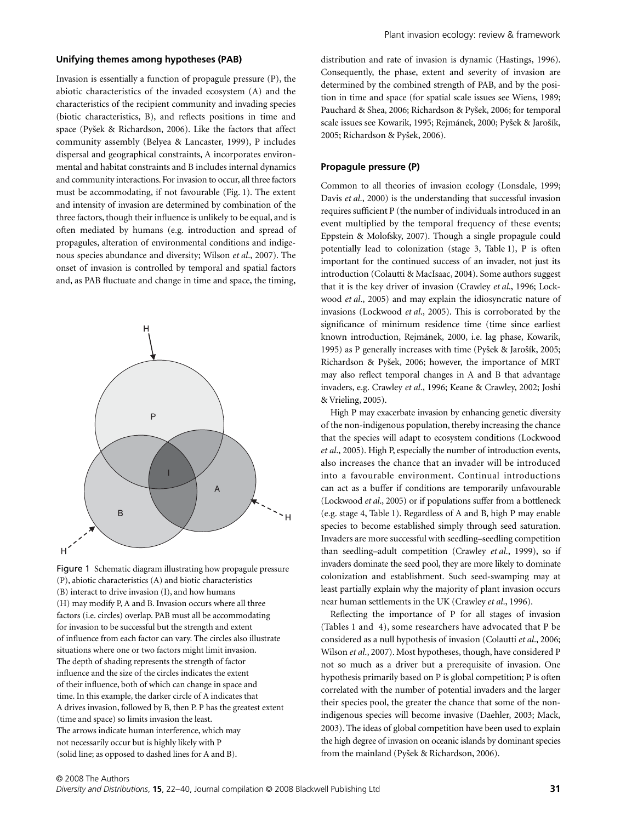#### **Unifying themes among hypotheses (PAB)**

Invasion is essentially a function of propagule pressure (P), the abiotic characteristics of the invaded ecosystem (A) and the characteristics of the recipient community and invading species (biotic characteristics, B), and reflects positions in time and space (Pysek & Richardson, 2006). Like the factors that affect community assembly (Belyea & Lancaster, 1999), P includes dispersal and geographical constraints, A incorporates environmental and habitat constraints and B includes internal dynamics and community interactions. For invasion to occur, all three factors must be accommodating, if not favourable (Fig. 1). The extent and intensity of invasion are determined by combination of the three factors, though their influence is unlikely to be equal, and is often mediated by humans (e.g. introduction and spread of propagules, alteration of environmental conditions and indigenous species abundance and diversity; Wilson *et al*., 2007). The onset of invasion is controlled by temporal and spatial factors and, as PAB fluctuate and change in time and space, the timing,



Figure 1 Schematic diagram illustrating how propagule pressure (P), abiotic characteristics (A) and biotic characteristics (B) interact to drive invasion (I), and how humans (H) may modify P, A and B. Invasion occurs where all three factors (i.e. circles) overlap. PAB must all be accommodating for invasion to be successful but the strength and extent of influence from each factor can vary. The circles also illustrate situations where one or two factors might limit invasion. The depth of shading represents the strength of factor influence and the size of the circles indicates the extent of their influence, both of which can change in space and time. In this example, the darker circle of A indicates that A drives invasion, followed by B, then P. P has the greatest extent (time and space) so limits invasion the least. The arrows indicate human interference, which may not necessarily occur but is highly likely with P (solid line; as opposed to dashed lines for A and B).

distribution and rate of invasion is dynamic (Hastings, 1996). Consequently, the phase, extent and severity of invasion are determined by the combined strength of PAB, and by the position in time and space (for spatial scale issues see Wiens, 1989; Pauchard & Shea, 2006; Richardson & Pysek, 2006; for temporal scale issues see Kowarik, 1995; Rejmánek, 2000; Pysek & Jarosík, 2005; Richardson & Pysek, 2006).

#### **Propagule pressure (P)**

Common to all theories of invasion ecology (Lonsdale, 1999; Davis *et al*., 2000) is the understanding that successful invasion requires sufficient P (the number of individuals introduced in an event multiplied by the temporal frequency of these events; Eppstein & Molofsky, 2007). Though a single propagule could potentially lead to colonization (stage 3, Table 1), P is often important for the continued success of an invader, not just its introduction (Colautti & MacIsaac, 2004). Some authors suggest that it is the key driver of invasion (Crawley *et al*., 1996; Lockwood *et al*., 2005) and may explain the idiosyncratic nature of invasions (Lockwood *et al*., 2005). This is corroborated by the significance of minimum residence time (time since earliest known introduction, Rejmánek, 2000, i.e. lag phase, Kowarik, 1995) as P generally increases with time (Pysek & Jarosík, 2005; Richardson & Pysek, 2006; however, the importance of MRT may also reflect temporal changes in A and B that advantage invaders, e.g. Crawley *et al*., 1996; Keane & Crawley, 2002; Joshi & Vrieling, 2005).

High P may exacerbate invasion by enhancing genetic diversity of the non-indigenous population, thereby increasing the chance that the species will adapt to ecosystem conditions (Lockwood *et al*., 2005). High P, especially the number of introduction events, also increases the chance that an invader will be introduced into a favourable environment. Continual introductions can act as a buffer if conditions are temporarily unfavourable (Lockwood *et al*., 2005) or if populations suffer from a bottleneck (e.g. stage 4, Table 1). Regardless of A and B, high P may enable species to become established simply through seed saturation. Invaders are more successful with seedling–seedling competition than seedling–adult competition (Crawley *et al*., 1999), so if invaders dominate the seed pool, they are more likely to dominate colonization and establishment. Such seed-swamping may at least partially explain why the majority of plant invasion occurs near human settlements in the UK (Crawley *et al*., 1996).

Reflecting the importance of P for all stages of invasion (Tables 1 and 4), some researchers have advocated that P be considered as a null hypothesis of invasion (Colautti *et al*., 2006; Wilson *et al*., 2007). Most hypotheses, though, have considered P not so much as a driver but a prerequisite of invasion. One hypothesis primarily based on P is global competition; P is often correlated with the number of potential invaders and the larger their species pool, the greater the chance that some of the nonindigenous species will become invasive (Daehler, 2003; Mack, 2003). The ideas of global competition have been used to explain the high degree of invasion on oceanic islands by dominant species from the mainland (Pyšek & Richardson, 2006).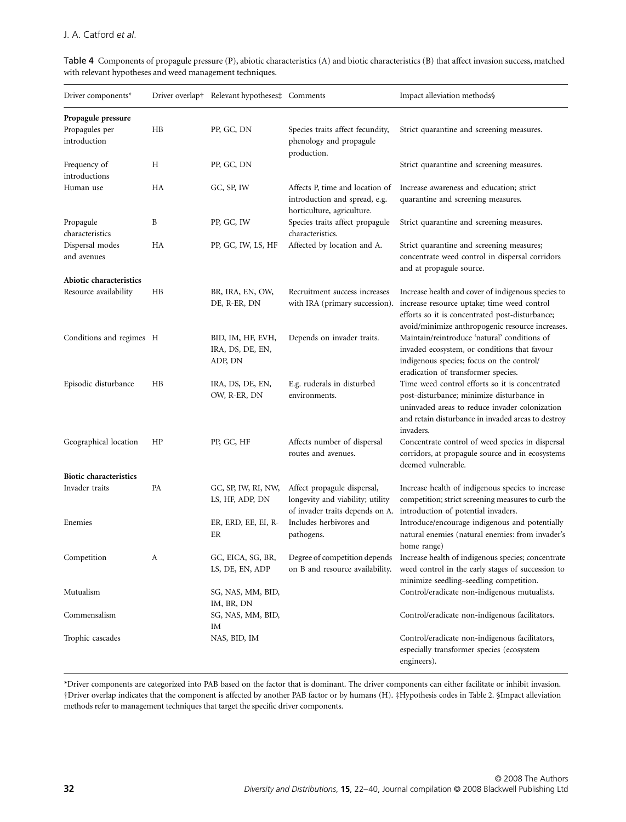# J. A. Catford *et al*.

| Driver components*                                   |             | Driver overlap† Relevant hypotheses‡ Comments    |                                                                                                    | Impact alleviation methods§                                                                                                                                                                                       |
|------------------------------------------------------|-------------|--------------------------------------------------|----------------------------------------------------------------------------------------------------|-------------------------------------------------------------------------------------------------------------------------------------------------------------------------------------------------------------------|
| Propagule pressure<br>Propagules per<br>introduction | HB          | PP, GC, DN                                       | Species traits affect fecundity,<br>phenology and propagule<br>production.                         | Strict quarantine and screening measures.                                                                                                                                                                         |
| Frequency of<br>introductions                        | Η           | PP, GC, DN                                       |                                                                                                    | Strict quarantine and screening measures.                                                                                                                                                                         |
| Human use                                            | HA          | GC, SP, IW                                       | Affects P, time and location of<br>introduction and spread, e.g.<br>horticulture, agriculture.     | Increase awareness and education; strict<br>quarantine and screening measures.                                                                                                                                    |
| Propagule<br>characteristics                         | B           | PP, GC, IW                                       | Species traits affect propagule<br>characteristics.                                                | Strict quarantine and screening measures.                                                                                                                                                                         |
| Dispersal modes<br>and avenues                       | HA          | PP, GC, IW, LS, HF                               | Affected by location and A.                                                                        | Strict quarantine and screening measures;<br>concentrate weed control in dispersal corridors<br>and at propagule source.                                                                                          |
| Abiotic characteristics<br>Resource availability     | $_{\rm HB}$ | BR, IRA, EN, OW,<br>DE, R-ER, DN                 | Recruitment success increases<br>with IRA (primary succession).                                    | Increase health and cover of indigenous species to<br>increase resource uptake; time weed control<br>efforts so it is concentrated post-disturbance;<br>avoid/minimize anthropogenic resource increases.          |
| Conditions and regimes H                             |             | BID, IM, HF, EVH,<br>IRA, DS, DE, EN,<br>ADP, DN | Depends on invader traits.                                                                         | Maintain/reintroduce 'natural' conditions of<br>invaded ecosystem, or conditions that favour<br>indigenous species; focus on the control/<br>eradication of transformer species.                                  |
| Episodic disturbance                                 | HB          | IRA, DS, DE, EN,<br>OW, R-ER, DN                 | E.g. ruderals in disturbed<br>environments.                                                        | Time weed control efforts so it is concentrated<br>post-disturbance; minimize disturbance in<br>uninvaded areas to reduce invader colonization<br>and retain disturbance in invaded areas to destroy<br>invaders. |
| Geographical location                                | HP          | PP, GC, HF                                       | Affects number of dispersal<br>routes and avenues.                                                 | Concentrate control of weed species in dispersal<br>corridors, at propagule source and in ecosystems<br>deemed vulnerable.                                                                                        |
| <b>Biotic characteristics</b>                        |             |                                                  |                                                                                                    |                                                                                                                                                                                                                   |
| Invader traits                                       | PA          | GC, SP, IW, RI, NW,<br>LS, HF, ADP, DN           | Affect propagule dispersal,<br>longevity and viability; utility<br>of invader traits depends on A. | Increase health of indigenous species to increase<br>competition; strict screening measures to curb the<br>introduction of potential invaders.                                                                    |
| Enemies                                              |             | ER, ERD, EE, EI, R-<br>ER                        | Includes herbivores and<br>pathogens.                                                              | Introduce/encourage indigenous and potentially<br>natural enemies (natural enemies: from invader's<br>home range)                                                                                                 |
| Competition                                          | A           | GC, EICA, SG, BR,<br>LS, DE, EN, ADP             | Degree of competition depends<br>on B and resource availability.                                   | Increase health of indigenous species; concentrate<br>weed control in the early stages of succession to<br>minimize seedling-seedling competition.                                                                |
| Mutualism                                            |             | SG, NAS, MM, BID,<br>IM, BR, DN                  |                                                                                                    | Control/eradicate non-indigenous mutualists.                                                                                                                                                                      |
| Commensalism                                         |             | SG, NAS, MM, BID,<br>ΙM                          |                                                                                                    | Control/eradicate non-indigenous facilitators.                                                                                                                                                                    |
| Trophic cascades                                     |             | NAS, BID, IM                                     |                                                                                                    | Control/eradicate non-indigenous facilitators,<br>especially transformer species (ecosystem<br>engineers).                                                                                                        |

Table 4 Components of propagule pressure (P), abiotic characteristics (A) and biotic characteristics (B) that affect invasion success, matched with relevant hypotheses and weed management techniques.

\*Driver components are categorized into PAB based on the factor that is dominant. The driver components can either facilitate or inhibit invasion. †Driver overlap indicates that the component is affected by another PAB factor or by humans (H). ‡Hypothesis codes in Table 2. §Impact alleviation methods refer to management techniques that target the specific driver components.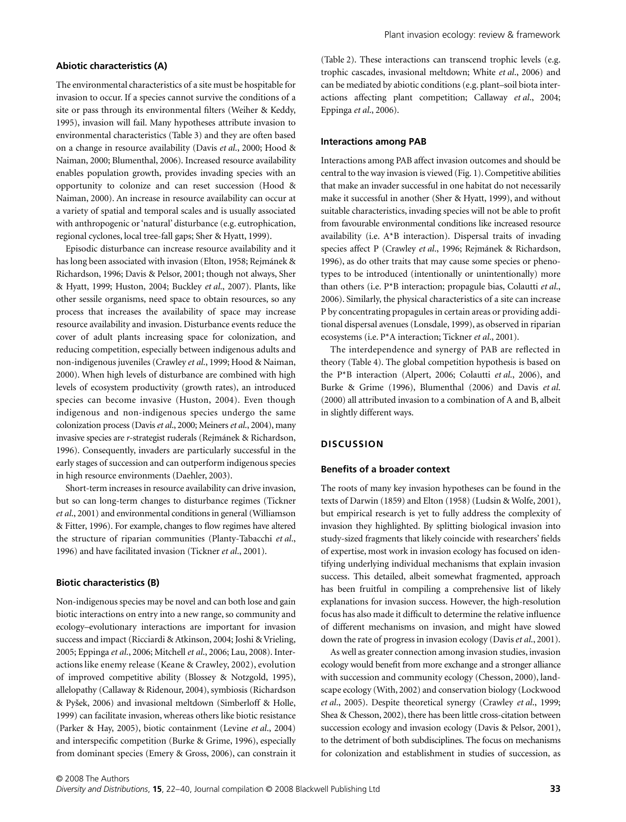# **Abiotic characteristics (A)**

The environmental characteristics of a site must be hospitable for invasion to occur. If a species cannot survive the conditions of a site or pass through its environmental filters (Weiher & Keddy, 1995), invasion will fail. Many hypotheses attribute invasion to environmental characteristics (Table 3) and they are often based on a change in resource availability (Davis *et al*., 2000; Hood & Naiman, 2000; Blumenthal, 2006). Increased resource availability enables population growth, provides invading species with an opportunity to colonize and can reset succession (Hood & Naiman, 2000). An increase in resource availability can occur at a variety of spatial and temporal scales and is usually associated with anthropogenic or 'natural' disturbance (e.g. eutrophication, regional cyclones, local tree-fall gaps; Sher & Hyatt, 1999).

Episodic disturbance can increase resource availability and it has long been associated with invasion (Elton, 1958; Rejmánek & Richardson, 1996; Davis & Pelsor, 2001; though not always, Sher & Hyatt, 1999; Huston, 2004; Buckley *et al*., 2007). Plants, like other sessile organisms, need space to obtain resources, so any process that increases the availability of space may increase resource availability and invasion. Disturbance events reduce the cover of adult plants increasing space for colonization, and reducing competition, especially between indigenous adults and non-indigenous juveniles (Crawley *et al*., 1999; Hood & Naiman, 2000). When high levels of disturbance are combined with high levels of ecosystem productivity (growth rates), an introduced species can become invasive (Huston, 2004). Even though indigenous and non-indigenous species undergo the same colonization process (Davis *et al*., 2000; Meiners *et al*., 2004), many invasive species are *r*-strategist ruderals (Rejmánek & Richardson, 1996). Consequently, invaders are particularly successful in the early stages of succession and can outperform indigenous species in high resource environments (Daehler, 2003).

Short-term increases in resource availability can drive invasion, but so can long-term changes to disturbance regimes (Tickner *et al*., 2001) and environmental conditions in general (Williamson & Fitter, 1996). For example, changes to flow regimes have altered the structure of riparian communities (Planty-Tabacchi *et al*., 1996) and have facilitated invasion (Tickner *et al*., 2001).

#### **Biotic characteristics (B)**

Non-indigenous species may be novel and can both lose and gain biotic interactions on entry into a new range, so community and ecology–evolutionary interactions are important for invasion success and impact (Ricciardi & Atkinson, 2004; Joshi & Vrieling, 2005; Eppinga *et al*., 2006; Mitchell *et al*., 2006; Lau, 2008). Interactions like enemy release (Keane & Crawley, 2002), evolution of improved competitive ability (Blossey & Notzgold, 1995), allelopathy (Callaway & Ridenour, 2004), symbiosis (Richardson & Pysek, 2006) and invasional meltdown (Simberloff & Holle, 1999) can facilitate invasion, whereas others like biotic resistance (Parker & Hay, 2005), biotic containment (Levine *et al*., 2004) and interspecific competition (Burke & Grime, 1996), especially from dominant species (Emery & Gross, 2006), can constrain it (Table 2). These interactions can transcend trophic levels (e.g. trophic cascades, invasional meltdown; White *et al*., 2006) and can be mediated by abiotic conditions (e.g. plant–soil biota interactions affecting plant competition; Callaway *et al*., 2004; Eppinga *et al*., 2006).

#### **Interactions among PAB**

Interactions among PAB affect invasion outcomes and should be central to the way invasion is viewed (Fig. 1). Competitive abilities that make an invader successful in one habitat do not necessarily make it successful in another (Sher & Hyatt, 1999), and without suitable characteristics, invading species will not be able to profit from favourable environmental conditions like increased resource availability (i.e. A\*B interaction). Dispersal traits of invading species affect P (Crawley *et al*., 1996; Rejmánek & Richardson, 1996), as do other traits that may cause some species or phenotypes to be introduced (intentionally or unintentionally) more than others (i.e. P\*B interaction; propagule bias, Colautti *et al*., 2006). Similarly, the physical characteristics of a site can increase P by concentrating propagules in certain areas or providing additional dispersal avenues (Lonsdale, 1999), as observed in riparian ecosystems (i.e. P\*A interaction; Tickner *et al*., 2001).

The interdependence and synergy of PAB are reflected in theory (Table 4). The global competition hypothesis is based on the P\*B interaction (Alpert, 2006; Colautti *et al*., 2006), and Burke & Grime (1996), Blumenthal (2006) and Davis *et al*. (2000) all attributed invasion to a combination of A and B, albeit in slightly different ways.

# **DISCUSSION**

### **Benefits of a broader context**

The roots of many key invasion hypotheses can be found in the texts of Darwin (1859) and Elton (1958) (Ludsin & Wolfe, 2001), but empirical research is yet to fully address the complexity of invasion they highlighted. By splitting biological invasion into study-sized fragments that likely coincide with researchers' fields of expertise, most work in invasion ecology has focused on identifying underlying individual mechanisms that explain invasion success. This detailed, albeit somewhat fragmented, approach has been fruitful in compiling a comprehensive list of likely explanations for invasion success. However, the high-resolution focus has also made it difficult to determine the relative influence of different mechanisms on invasion, and might have slowed down the rate of progress in invasion ecology (Davis *et al*., 2001).

As well as greater connection among invasion studies, invasion ecology would benefit from more exchange and a stronger alliance with succession and community ecology (Chesson, 2000), landscape ecology (With, 2002) and conservation biology (Lockwood *et al*., 2005). Despite theoretical synergy (Crawley *et al*., 1999; Shea & Chesson, 2002), there has been little cross-citation between succession ecology and invasion ecology (Davis & Pelsor, 2001), to the detriment of both subdisciplines. The focus on mechanisms for colonization and establishment in studies of succession, as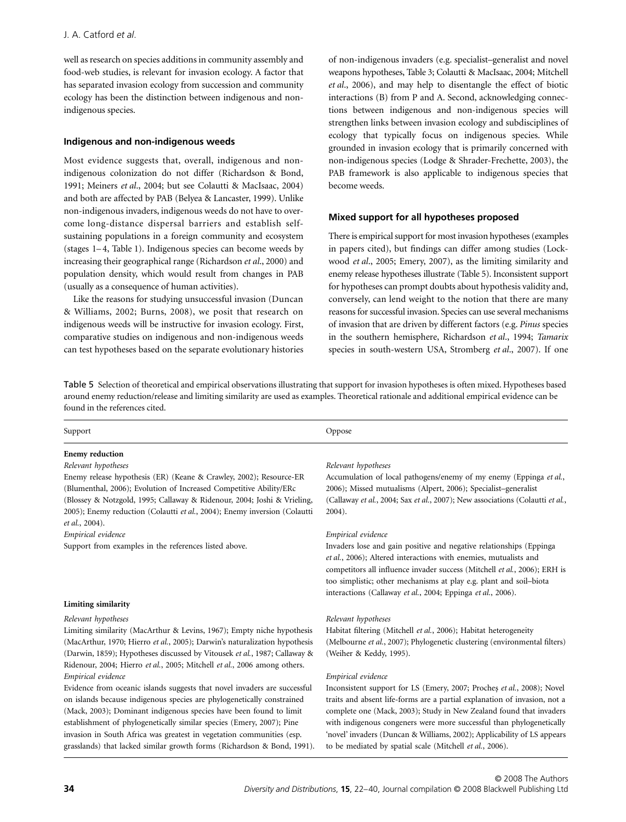well as research on species additions in community assembly and food-web studies, is relevant for invasion ecology. A factor that has separated invasion ecology from succession and community ecology has been the distinction between indigenous and nonindigenous species.

# **Indigenous and non-indigenous weeds**

Most evidence suggests that, overall, indigenous and nonindigenous colonization do not differ (Richardson & Bond, 1991; Meiners *et al*., 2004; but see Colautti & MacIsaac, 2004) and both are affected by PAB (Belyea & Lancaster, 1999). Unlike non-indigenous invaders, indigenous weeds do not have to overcome long-distance dispersal barriers and establish selfsustaining populations in a foreign community and ecosystem (stages 1– 4, Table 1). Indigenous species can become weeds by increasing their geographical range (Richardson *et al*., 2000) and population density, which would result from changes in PAB (usually as a consequence of human activities).

Like the reasons for studying unsuccessful invasion (Duncan & Williams, 2002; Burns, 2008), we posit that research on indigenous weeds will be instructive for invasion ecology. First, comparative studies on indigenous and non-indigenous weeds can test hypotheses based on the separate evolutionary histories

of non-indigenous invaders (e.g. specialist–generalist and novel weapons hypotheses, Table 3; Colautti & MacIsaac, 2004; Mitchell *et al*., 2006), and may help to disentangle the effect of biotic interactions (B) from P and A. Second, acknowledging connections between indigenous and non-indigenous species will strengthen links between invasion ecology and subdisciplines of ecology that typically focus on indigenous species. While grounded in invasion ecology that is primarily concerned with non-indigenous species (Lodge & Shrader-Frechette, 2003), the PAB framework is also applicable to indigenous species that become weeds.

# **Mixed support for all hypotheses proposed**

There is empirical support for most invasion hypotheses (examples in papers cited), but findings can differ among studies (Lockwood *et al*., 2005; Emery, 2007), as the limiting similarity and enemy release hypotheses illustrate (Table 5). Inconsistent support for hypotheses can prompt doubts about hypothesis validity and, conversely, can lend weight to the notion that there are many reasons for successful invasion. Species can use several mechanisms of invasion that are driven by different factors (e.g. *Pinus* species in the southern hemisphere, Richardson *et al*., 1994; *Tamarix* species in south-western USA, Stromberg *et al*., 2007). If one

Table 5 Selection of theoretical and empirical observations illustrating that support for invasion hypotheses is often mixed. Hypotheses based around enemy reduction/release and limiting similarity are used as examples. Theoretical rationale and additional empirical evidence can be found in the references cited.

| Support                                                                                                                                                                | Oppose                                                                                                                                                                                                                                                                                                                                                    |
|------------------------------------------------------------------------------------------------------------------------------------------------------------------------|-----------------------------------------------------------------------------------------------------------------------------------------------------------------------------------------------------------------------------------------------------------------------------------------------------------------------------------------------------------|
| <b>Enemy reduction</b>                                                                                                                                                 |                                                                                                                                                                                                                                                                                                                                                           |
| Relevant hypotheses                                                                                                                                                    | Relevant hypotheses                                                                                                                                                                                                                                                                                                                                       |
| Enemy release hypothesis (ER) (Keane & Crawley, 2002); Resource-ER<br>(Blumenthal, 2006); Evolution of Increased Competitive Ability/ERc                               | Accumulation of local pathogens/enemy of my enemy (Eppinga et al.,<br>2006); Missed mutualisms (Alpert, 2006); Specialist-generalist                                                                                                                                                                                                                      |
| (Blossey & Notzgold, 1995; Callaway & Ridenour, 2004; Joshi & Vrieling,<br>2005); Enemy reduction (Colautti et al., 2004); Enemy inversion (Colautti<br>et al., 2004). | (Callaway et al., 2004; Sax et al., 2007); New associations (Colautti et al.,<br>$2004$ ).                                                                                                                                                                                                                                                                |
| Empirical evidence                                                                                                                                                     | Empirical evidence                                                                                                                                                                                                                                                                                                                                        |
| Support from examples in the references listed above.                                                                                                                  | Invaders lose and gain positive and negative relationships (Eppinga<br>et al., 2006); Altered interactions with enemies, mutualists and<br>competitors all influence invader success (Mitchell et al., 2006); ERH is<br>too simplistic; other mechanisms at play e.g. plant and soil-biota<br>interactions (Callaway et al., 2004; Eppinga et al., 2006). |
| Limiting similarity                                                                                                                                                    |                                                                                                                                                                                                                                                                                                                                                           |
| Relevant hypotheses                                                                                                                                                    | Relevant hypotheses                                                                                                                                                                                                                                                                                                                                       |
| Limiting similarity (MacArthur & Levins, 1967); Empty niche hypothesis                                                                                                 | Habitat filtering (Mitchell et al., 2006); Habitat heterogeneity                                                                                                                                                                                                                                                                                          |
| (MacArthur, 1970; Hierro et al., 2005); Darwin's naturalization hypothesis                                                                                             | (Melbourne et al., 2007); Phylogenetic clustering (environmental filters)                                                                                                                                                                                                                                                                                 |
| (Darwin, 1859); Hypotheses discussed by Vitousek et al., 1987; Callaway &                                                                                              | (Weiher & Keddy, 1995).                                                                                                                                                                                                                                                                                                                                   |
| Ridenour, 2004; Hierro et al., 2005; Mitchell et al., 2006 among others.                                                                                               |                                                                                                                                                                                                                                                                                                                                                           |
| Empirical evidence                                                                                                                                                     | Empirical evidence                                                                                                                                                                                                                                                                                                                                        |
| Evidence from oceanic islands suggests that novel invaders are successful                                                                                              | Inconsistent support for LS (Emery, 2007; Proches et al., 2008); Novel                                                                                                                                                                                                                                                                                    |

on islands because indigenous species are phylogenetically constrained (Mack, 2003); Dominant indigenous species have been found to limit establishment of phylogenetically similar species (Emery, 2007); Pine invasion in South Africa was greatest in vegetation communities (esp. grasslands) that lacked similar growth forms (Richardson & Bond, 1991).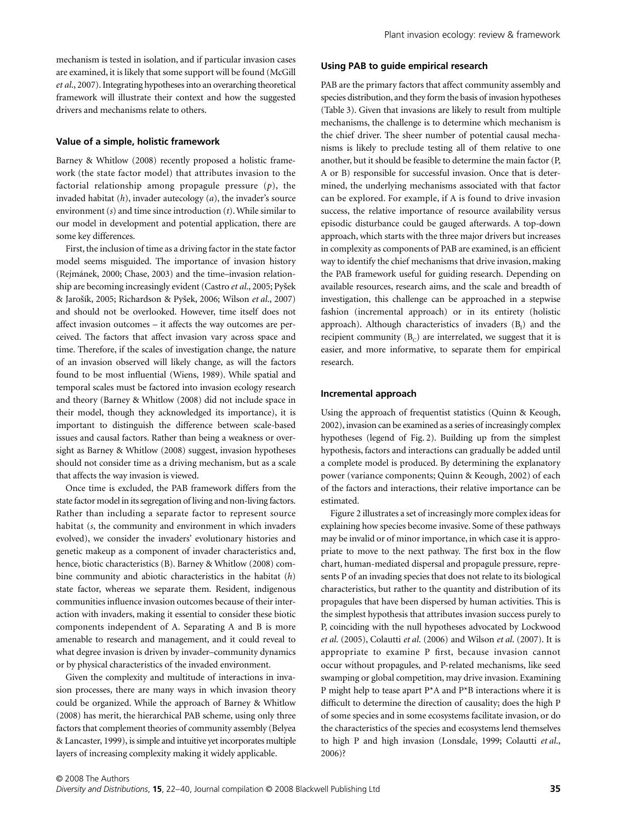mechanism is tested in isolation, and if particular invasion cases are examined, it is likely that some support will be found (McGill *et al*., 2007). Integrating hypotheses into an overarching theoretical framework will illustrate their context and how the suggested drivers and mechanisms relate to others.

### **Value of a simple, holistic framework**

Barney & Whitlow (2008) recently proposed a holistic framework (the state factor model) that attributes invasion to the factorial relationship among propagule pressure (*p*), the invaded habitat (*h*), invader autecology (*a*), the invader's source environment (*s*) and time since introduction (*t*). While similar to our model in development and potential application, there are some key differences.

First, the inclusion of time as a driving factor in the state factor model seems misguided. The importance of invasion history (Rejmánek, 2000; Chase, 2003) and the time–invasion relationship are becoming increasingly evident (Castro *et al*., 2005; Pysek & Jarosík, 2005; Richardson & Pysek, 2006; Wilson *et al*., 2007) and should not be overlooked. However, time itself does not affect invasion outcomes – it affects the way outcomes are perceived. The factors that affect invasion vary across space and time. Therefore, if the scales of investigation change, the nature of an invasion observed will likely change, as will the factors found to be most influential (Wiens, 1989). While spatial and temporal scales must be factored into invasion ecology research and theory (Barney & Whitlow (2008) did not include space in their model, though they acknowledged its importance), it is important to distinguish the difference between scale-based issues and causal factors. Rather than being a weakness or oversight as Barney & Whitlow (2008) suggest, invasion hypotheses should not consider time as a driving mechanism, but as a scale that affects the way invasion is viewed.

Once time is excluded, the PAB framework differs from the state factor model in its segregation of living and non-living factors. Rather than including a separate factor to represent source habitat (*s*, the community and environment in which invaders evolved), we consider the invaders' evolutionary histories and genetic makeup as a component of invader characteristics and, hence, biotic characteristics (B). Barney & Whitlow (2008) combine community and abiotic characteristics in the habitat (*h*) state factor, whereas we separate them. Resident, indigenous communities influence invasion outcomes because of their interaction with invaders, making it essential to consider these biotic components independent of A. Separating A and B is more amenable to research and management, and it could reveal to what degree invasion is driven by invader–community dynamics or by physical characteristics of the invaded environment.

Given the complexity and multitude of interactions in invasion processes, there are many ways in which invasion theory could be organized. While the approach of Barney & Whitlow (2008) has merit, the hierarchical PAB scheme, using only three factors that complement theories of community assembly (Belyea & Lancaster, 1999), is simple and intuitive yet incorporates multiple layers of increasing complexity making it widely applicable.

#### **Using PAB to guide empirical research**

PAB are the primary factors that affect community assembly and species distribution, and they form the basis of invasion hypotheses (Table 3). Given that invasions are likely to result from multiple mechanisms, the challenge is to determine which mechanism is the chief driver. The sheer number of potential causal mechanisms is likely to preclude testing all of them relative to one another, but it should be feasible to determine the main factor (P, A or B) responsible for successful invasion. Once that is determined, the underlying mechanisms associated with that factor can be explored. For example, if A is found to drive invasion success, the relative importance of resource availability versus episodic disturbance could be gauged afterwards. A top-down approach, which starts with the three major drivers but increases in complexity as components of PAB are examined, is an efficient way to identify the chief mechanisms that drive invasion, making the PAB framework useful for guiding research. Depending on available resources, research aims, and the scale and breadth of investigation, this challenge can be approached in a stepwise fashion (incremental approach) or in its entirety (holistic approach). Although characteristics of invaders  $(B<sub>I</sub>)$  and the recipient community  $(B<sub>c</sub>)$  are interrelated, we suggest that it is easier, and more informative, to separate them for empirical research.

#### **Incremental approach**

Using the approach of frequentist statistics (Quinn & Keough, 2002), invasion can be examined as a series of increasingly complex hypotheses (legend of Fig. 2). Building up from the simplest hypothesis, factors and interactions can gradually be added until a complete model is produced. By determining the explanatory power (variance components; Quinn & Keough, 2002) of each of the factors and interactions, their relative importance can be estimated.

Figure 2 illustrates a set of increasingly more complex ideas for explaining how species become invasive. Some of these pathways may be invalid or of minor importance, in which case it is appropriate to move to the next pathway. The first box in the flow chart, human-mediated dispersal and propagule pressure, represents P of an invading species that does not relate to its biological characteristics, but rather to the quantity and distribution of its propagules that have been dispersed by human activities. This is the simplest hypothesis that attributes invasion success purely to P, coinciding with the null hypotheses advocated by Lockwood *et al*. (2005), Colautti *et al*. (2006) and Wilson *et al*. (2007). It is appropriate to examine P first, because invasion cannot occur without propagules, and P-related mechanisms, like seed swamping or global competition, may drive invasion. Examining P might help to tease apart P\*A and P\*B interactions where it is difficult to determine the direction of causality; does the high P of some species and in some ecosystems facilitate invasion, or do the characteristics of the species and ecosystems lend themselves to high P and high invasion (Lonsdale, 1999; Colautti *et al*., 2006)?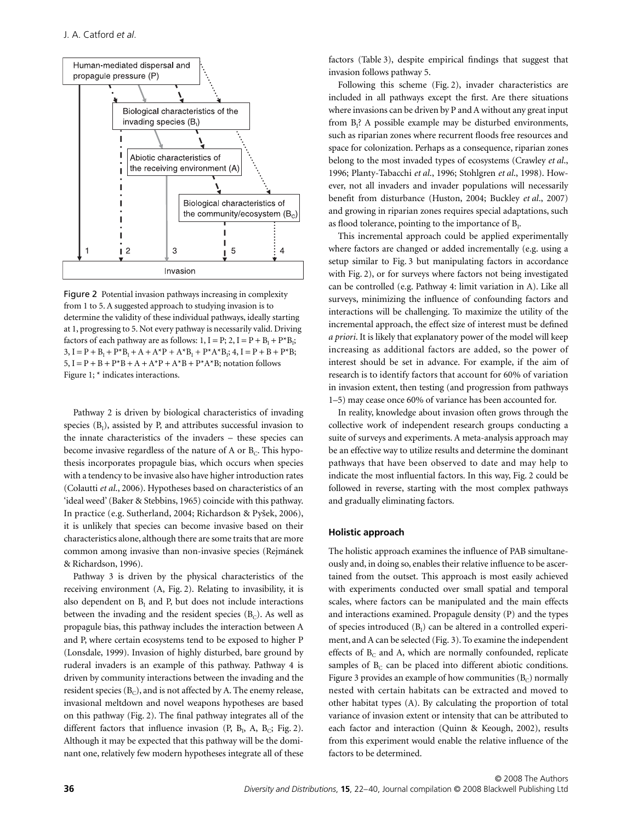

Figure 2 Potential invasion pathways increasing in complexity from 1 to 5. A suggested approach to studying invasion is to determine the validity of these individual pathways, ideally starting at 1, progressing to 5. Not every pathway is necessarily valid. Driving factors of each pathway are as follows:  $1, I = P$ ;  $2, I = P + B<sub>I</sub> + P<sup>*</sup>B<sub>I</sub>$ ; 3, I = P + B<sub>I</sub> + P\*B<sub>I</sub> + A + A\*P + A\*B<sub>I</sub> + P\*A\*B<sub>I</sub>; 4, I = P + B + P\*B; 5,  $I = P + B + P^*B + A + A^*P + A^*B + P^*A^*B$ ; notation follows Figure 1; \* indicates interactions.

Pathway 2 is driven by biological characteristics of invading species  $(B<sub>I</sub>)$ , assisted by P, and attributes successful invasion to the innate characteristics of the invaders – these species can become invasive regardless of the nature of A or  $B<sub>C</sub>$ . This hypothesis incorporates propagule bias, which occurs when species with a tendency to be invasive also have higher introduction rates (Colautti *et al*., 2006). Hypotheses based on characteristics of an 'ideal weed' (Baker & Stebbins, 1965) coincide with this pathway. In practice (e.g. Sutherland, 2004; Richardson & Pysek, 2006), it is unlikely that species can become invasive based on their characteristics alone, although there are some traits that are more common among invasive than non-invasive species (Rejmánek & Richardson, 1996).

Pathway 3 is driven by the physical characteristics of the receiving environment (A, Fig. 2). Relating to invasibility, it is also dependent on  $B<sub>I</sub>$  and P, but does not include interactions between the invading and the resident species  $(B<sub>C</sub>)$ . As well as propagule bias, this pathway includes the interaction between A and P, where certain ecosystems tend to be exposed to higher P (Lonsdale, 1999). Invasion of highly disturbed, bare ground by ruderal invaders is an example of this pathway. Pathway 4 is driven by community interactions between the invading and the resident species  $(B<sub>C</sub>)$ , and is not affected by A. The enemy release, invasional meltdown and novel weapons hypotheses are based on this pathway (Fig. 2). The final pathway integrates all of the different factors that influence invasion  $(P, B<sub>1</sub>, A, B<sub>C</sub>; Fig. 2)$ . Although it may be expected that this pathway will be the dominant one, relatively few modern hypotheses integrate all of these

factors (Table 3), despite empirical findings that suggest that invasion follows pathway 5.

Following this scheme (Fig. 2), invader characteristics are included in all pathways except the first. Are there situations where invasions can be driven by P and A without any great input from B<sub>1</sub>? A possible example may be disturbed environments, such as riparian zones where recurrent floods free resources and space for colonization. Perhaps as a consequence, riparian zones belong to the most invaded types of ecosystems (Crawley *et al*., 1996; Planty-Tabacchi *et al*., 1996; Stohlgren *et al*., 1998). However, not all invaders and invader populations will necessarily benefit from disturbance (Huston, 2004; Buckley *et al*., 2007) and growing in riparian zones requires special adaptations, such as flood tolerance, pointing to the importance of  $B<sub>I</sub>$ .

This incremental approach could be applied experimentally where factors are changed or added incrementally (e.g. using a setup similar to Fig. 3 but manipulating factors in accordance with Fig. 2), or for surveys where factors not being investigated can be controlled (e.g. Pathway 4: limit variation in A). Like all surveys, minimizing the influence of confounding factors and interactions will be challenging. To maximize the utility of the incremental approach, the effect size of interest must be defined *a priori*. It is likely that explanatory power of the model will keep increasing as additional factors are added, so the power of interest should be set in advance. For example, if the aim of research is to identify factors that account for 60% of variation in invasion extent, then testing (and progression from pathways 1–5) may cease once 60% of variance has been accounted for.

In reality, knowledge about invasion often grows through the collective work of independent research groups conducting a suite of surveys and experiments. A meta-analysis approach may be an effective way to utilize results and determine the dominant pathways that have been observed to date and may help to indicate the most influential factors. In this way, Fig. 2 could be followed in reverse, starting with the most complex pathways and gradually eliminating factors.

### **Holistic approach**

The holistic approach examines the influence of PAB simultaneously and, in doing so, enables their relative influence to be ascertained from the outset. This approach is most easily achieved with experiments conducted over small spatial and temporal scales, where factors can be manipulated and the main effects and interactions examined. Propagule density (P) and the types of species introduced  $(B<sub>I</sub>)$  can be altered in a controlled experiment, and A can be selected (Fig. 3). To examine the independent effects of  $B_C$  and A, which are normally confounded, replicate samples of  $B<sub>C</sub>$  can be placed into different abiotic conditions. Figure 3 provides an example of how communities  $(B_C)$  normally nested with certain habitats can be extracted and moved to other habitat types (A). By calculating the proportion of total variance of invasion extent or intensity that can be attributed to each factor and interaction (Quinn & Keough, 2002), results from this experiment would enable the relative influence of the factors to be determined.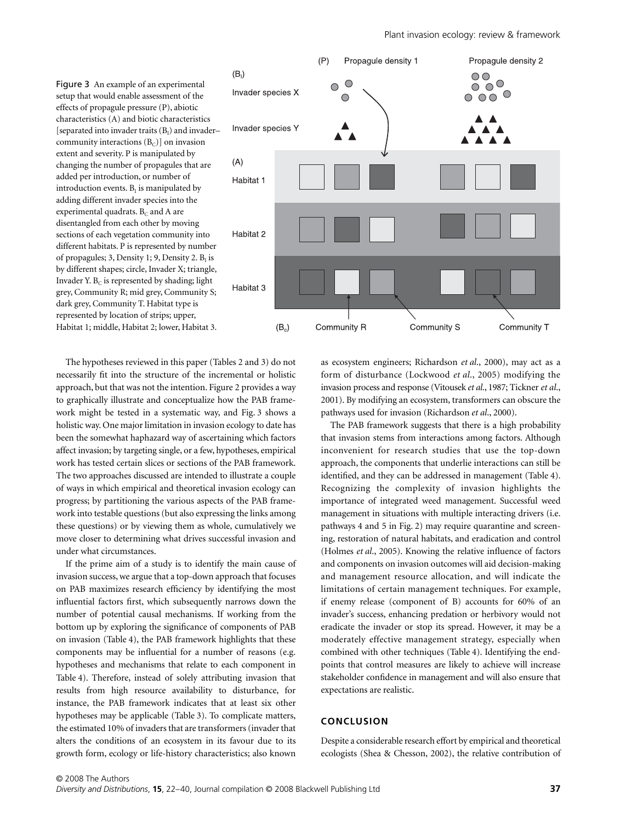

The hypotheses reviewed in this paper (Tables 2 and 3) do not necessarily fit into the structure of the incremental or holistic approach, but that was not the intention. Figure 2 provides a way to graphically illustrate and conceptualize how the PAB framework might be tested in a systematic way, and Fig. 3 shows a holistic way. One major limitation in invasion ecology to date has been the somewhat haphazard way of ascertaining which factors affect invasion; by targeting single, or a few, hypotheses, empirical work has tested certain slices or sections of the PAB framework. The two approaches discussed are intended to illustrate a couple of ways in which empirical and theoretical invasion ecology can progress; by partitioning the various aspects of the PAB framework into testable questions (but also expressing the links among these questions) or by viewing them as whole, cumulatively we of propagules; 3, Density 1; 9, Density 2.  $B<sub>I</sub>$  is by different shapes; circle, Invader X; triangle, Invader Y.  $B<sub>C</sub>$  is represented by shading; light grey, Community R; mid grey, Community S; dark grey, Community T. Habitat type is represented by location of strips; upper, Habitat 1; middle, Habitat 2; lower, Habitat 3.

added per introduction, or number of

experimental quadrats.  $B<sub>C</sub>$  and A are

If the prime aim of a study is to identify the main cause of invasion success, we argue that a top-down approach that focuses on PAB maximizes research efficiency by identifying the most influential factors first, which subsequently narrows down the number of potential causal mechanisms. If working from the bottom up by exploring the significance of components of PAB on invasion (Table 4), the PAB framework highlights that these components may be influential for a number of reasons (e.g. hypotheses and mechanisms that relate to each component in Table 4). Therefore, instead of solely attributing invasion that results from high resource availability to disturbance, for instance, the PAB framework indicates that at least six other hypotheses may be applicable (Table 3). To complicate matters, the estimated 10% of invaders that are transformers (invader that alters the conditions of an ecosystem in its favour due to its growth form, ecology or life-history characteristics; also known

move closer to determining what drives successful invasion and

under what circumstances.

as ecosystem engineers; Richardson *et al*., 2000), may act as a form of disturbance (Lockwood *et al*., 2005) modifying the invasion process and response (Vitousek *et al*., 1987; Tickner *et al*., 2001). By modifying an ecosystem, transformers can obscure the pathways used for invasion (Richardson *et al*., 2000).

The PAB framework suggests that there is a high probability that invasion stems from interactions among factors. Although inconvenient for research studies that use the top-down approach, the components that underlie interactions can still be identified, and they can be addressed in management (Table 4). Recognizing the complexity of invasion highlights the importance of integrated weed management. Successful weed management in situations with multiple interacting drivers (i.e. pathways 4 and 5 in Fig. 2) may require quarantine and screening, restoration of natural habitats, and eradication and control (Holmes *et al*., 2005). Knowing the relative influence of factors and components on invasion outcomes will aid decision-making and management resource allocation, and will indicate the limitations of certain management techniques. For example, if enemy release (component of B) accounts for 60% of an invader's success, enhancing predation or herbivory would not eradicate the invader or stop its spread. However, it may be a moderately effective management strategy, especially when combined with other techniques (Table 4). Identifying the endpoints that control measures are likely to achieve will increase stakeholder confidence in management and will also ensure that expectations are realistic.

# **CONCLUSION**

Despite a considerable research effort by empirical and theoretical ecologists (Shea & Chesson, 2002), the relative contribution of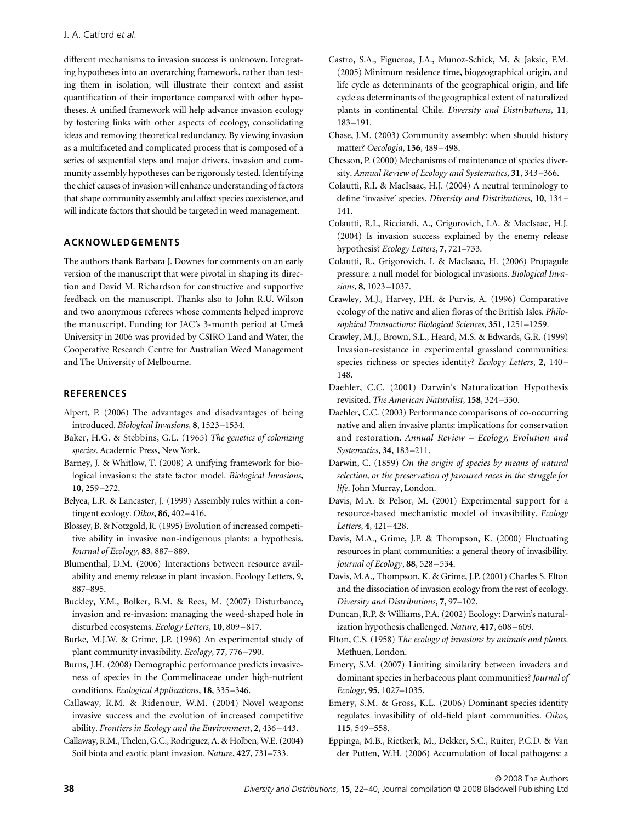different mechanisms to invasion success is unknown. Integrating hypotheses into an overarching framework, rather than testing them in isolation, will illustrate their context and assist quantification of their importance compared with other hypotheses. A unified framework will help advance invasion ecology by fostering links with other aspects of ecology, consolidating ideas and removing theoretical redundancy. By viewing invasion as a multifaceted and complicated process that is composed of a series of sequential steps and major drivers, invasion and community assembly hypotheses can be rigorously tested. Identifying the chief causes of invasion will enhance understanding of factors that shape community assembly and affect species coexistence, and will indicate factors that should be targeted in weed management.

# **ACKNOWLEDGEMENTS**

The authors thank Barbara J. Downes for comments on an early version of the manuscript that were pivotal in shaping its direction and David M. Richardson for constructive and supportive feedback on the manuscript. Thanks also to John R.U. Wilson and two anonymous referees whose comments helped improve the manuscript. Funding for JAC's 3-month period at Umeå University in 2006 was provided by CSIRO Land and Water, the Cooperative Research Centre for Australian Weed Management and The University of Melbourne.

# **REFERENCES**

- Alpert, P. (2006) The advantages and disadvantages of being introduced. *Biological Invasions*, **8**, 1523–1534.
- Baker, H.G. & Stebbins, G.L. (1965) *The genetics of colonizing species*. Academic Press, New York.
- Barney, J. & Whitlow, T. (2008) A unifying framework for biological invasions: the state factor model. *Biological Invasions*, **10**, 259–272.
- Belyea, L.R. & Lancaster, J. (1999) Assembly rules within a contingent ecology. *Oikos*, **86**, 402–416.
- Blossey, B. & Notzgold, R. (1995) Evolution of increased competitive ability in invasive non-indigenous plants: a hypothesis. *Journal of Ecology*, **83**, 887–889.
- Blumenthal, D.M. (2006) Interactions between resource availability and enemy release in plant invasion. Ecology Letters, 9, 887–895.
- Buckley, Y.M., Bolker, B.M. & Rees, M. (2007) Disturbance, invasion and re-invasion: managing the weed-shaped hole in disturbed ecosystems. *Ecology Letters*, **10**, 809–817.
- Burke, M.J.W. & Grime, J.P. (1996) An experimental study of plant community invasibility. *Ecology*, **77**, 776–790.
- Burns, J.H. (2008) Demographic performance predicts invasiveness of species in the Commelinaceae under high-nutrient conditions. *Ecological Applications*, **18**, 335–346.
- Callaway, R.M. & Ridenour, W.M. (2004) Novel weapons: invasive success and the evolution of increased competitive ability. *Frontiers in Ecology and the Environment*, **2**, 436–443.
- Callaway, R.M., Thelen, G.C., Rodriguez, A. & Holben, W.E. (2004) Soil biota and exotic plant invasion. *Nature*, **427**, 731–733.
- Castro, S.A., Figueroa, J.A., Munoz-Schick, M. & Jaksic, F.M. (2005) Minimum residence time, biogeographical origin, and life cycle as determinants of the geographical origin, and life cycle as determinants of the geographical extent of naturalized plants in continental Chile. *Diversity and Distributions*, **11**, 183–191.
- Chase, J.M. (2003) Community assembly: when should history matter? *Oecologia*, **136**, 489–498.
- Chesson, P. (2000) Mechanisms of maintenance of species diversity. *Annual Review of Ecology and Systematics*, **31**, 343–366.
- Colautti, R.I. & MacIsaac, H.J. (2004) A neutral terminology to define 'invasive' species. *Diversity and Distributions*, **10**, 134– 141.
- Colautti, R.I., Ricciardi, A., Grigorovich, I.A. & MacIsaac, H.J. (2004) Is invasion success explained by the enemy release hypothesis? *Ecology Letters*, **7**, 721–733.
- Colautti, R., Grigorovich, I. & MacIsaac, H. (2006) Propagule pressure: a null model for biological invasions. *Biological Invasions*, **8**, 1023–1037.
- Crawley, M.J., Harvey, P.H. & Purvis, A. (1996) Comparative ecology of the native and alien floras of the British Isles. *Philosophical Transactions: Biological Sciences*, **351**, 1251–1259.
- Crawley, M.J., Brown, S.L., Heard, M.S. & Edwards, G.R. (1999) Invasion-resistance in experimental grassland communities: species richness or species identity? *Ecology Letters*, **2**, 140– 148.
- Daehler, C.C. (2001) Darwin's Naturalization Hypothesis revisited. *The American Naturalist*, **158**, 324–330.
- Daehler, C.C. (2003) Performance comparisons of co-occurring native and alien invasive plants: implications for conservation and restoration. *Annual Review – Ecology, Evolution and Systematics*, **34**, 183–211.
- Darwin, C. (1859) *On the origin of species by means of natural selection, or the preservation of favoured races in the struggle for life*. John Murray, London.
- Davis, M.A. & Pelsor, M. (2001) Experimental support for a resource-based mechanistic model of invasibility. *Ecology Letters*, **4**, 421–428.
- Davis, M.A., Grime, J.P. & Thompson, K. (2000) Fluctuating resources in plant communities: a general theory of invasibility. *Journal of Ecology*, **88**, 528–534.
- Davis, M.A., Thompson, K. & Grime, J.P. (2001) Charles S. Elton and the dissociation of invasion ecology from the rest of ecology. *Diversity and Distributions*, **7**, 97–102.
- Duncan, R.P. & Williams, P.A. (2002) Ecology: Darwin's naturalization hypothesis challenged. *Nature*, **417**, 608–609.
- Elton, C.S. (1958) *The ecology of invasions by animals and plants*. Methuen, London.
- Emery, S.M. (2007) Limiting similarity between invaders and dominant species in herbaceous plant communities? *Journal of Ecology*, **95**, 1027–1035.
- Emery, S.M. & Gross, K.L. (2006) Dominant species identity regulates invasibility of old-field plant communities. *Oikos*, **115**, 549–558.
- Eppinga, M.B., Rietkerk, M., Dekker, S.C., Ruiter, P.C.D. & Van der Putten, W.H. (2006) Accumulation of local pathogens: a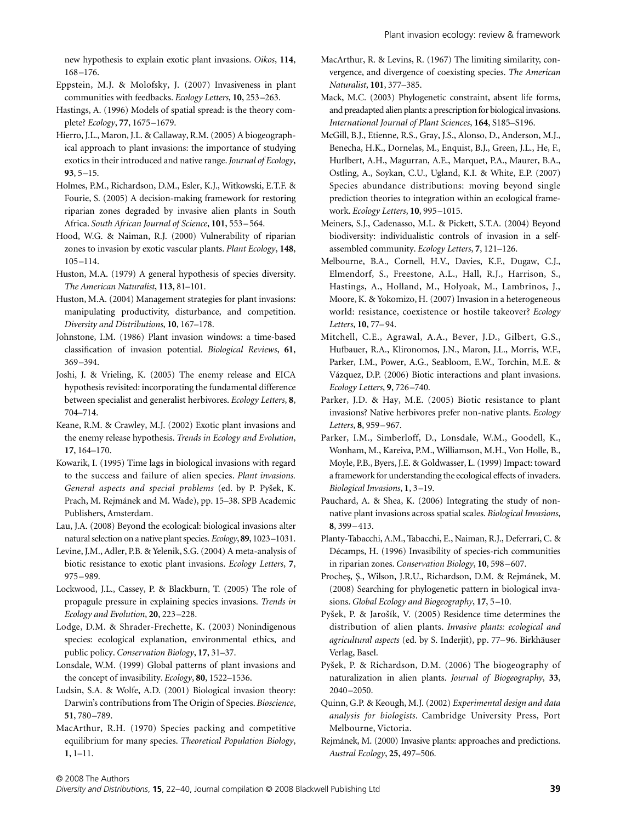new hypothesis to explain exotic plant invasions. *Oikos*, **114**, 168–176.

- Eppstein, M.J. & Molofsky, J. (2007) Invasiveness in plant communities with feedbacks. *Ecology Letters*, **10**, 253–263.
- Hastings, A. (1996) Models of spatial spread: is the theory complete? *Ecology*, **77**, 1675–1679.
- Hierro, J.L., Maron, J.L. & Callaway, R.M. (2005) A biogeographical approach to plant invasions: the importance of studying exotics in their introduced and native range. *Journal of Ecology*, **93**, 5–15.
- Holmes, P.M., Richardson, D.M., Esler, K.J., Witkowski, E.T.F. & Fourie, S. (2005) A decision-making framework for restoring riparian zones degraded by invasive alien plants in South Africa. *South African Journal of Science*, **101**, 553–564.
- Hood, W.G. & Naiman, R.J. (2000) Vulnerability of riparian zones to invasion by exotic vascular plants. *Plant Ecology*, **148**, 105–114.
- Huston, M.A. (1979) A general hypothesis of species diversity. *The American Naturalist*, **113**, 81–101.
- Huston, M.A. (2004) Management strategies for plant invasions: manipulating productivity, disturbance, and competition. *Diversity and Distributions*, **10**, 167–178.
- Johnstone, I.M. (1986) Plant invasion windows: a time-based classification of invasion potential. *Biological Reviews*, **61**, 369–394.
- Joshi, J. & Vrieling, K. (2005) The enemy release and EICA hypothesis revisited: incorporating the fundamental difference between specialist and generalist herbivores. *Ecology Letters*, **8**, 704–714.
- Keane, R.M. & Crawley, M.J. (2002) Exotic plant invasions and the enemy release hypothesis. *Trends in Ecology and Evolution*, **17**, 164–170.
- Kowarik, I. (1995) Time lags in biological invasions with regard to the success and failure of alien species. *Plant invasions. General aspects and special problems* (ed. by P. Pysek, K. Prach, M. Rejmánek and M. Wade), pp. 15–38. SPB Academic Publishers, Amsterdam.
- Lau, J.A. (2008) Beyond the ecological: biological invasions alter natural selection on a native plant species. *Ecology*, **89**, 1023–1031.
- Levine, J.M., Adler, P.B. & Yelenik, S.G. (2004) A meta-analysis of biotic resistance to exotic plant invasions. *Ecology Letters*, **7**, 975–989.
- Lockwood, J.L., Cassey, P. & Blackburn, T. (2005) The role of propagule pressure in explaining species invasions. *Trends in Ecology and Evolution*, **20**, 223–228.
- Lodge, D.M. & Shrader-Frechette, K. (2003) Nonindigenous species: ecological explanation, environmental ethics, and public policy. *Conservation Biology*, **17**, 31–37.
- Lonsdale, W.M. (1999) Global patterns of plant invasions and the concept of invasibility. *Ecology*, **80**, 1522–1536.
- Ludsin, S.A. & Wolfe, A.D. (2001) Biological invasion theory: Darwin's contributions from The Origin of Species. *Bioscience*, **51**, 780–789.
- MacArthur, R.H. (1970) Species packing and competitive equilibrium for many species. *Theoretical Population Biology*, **1**, 1–11.
- MacArthur, R. & Levins, R. (1967) The limiting similarity, convergence, and divergence of coexisting species. *The American Naturalist*, **101**, 377–385.
- Mack, M.C. (2003) Phylogenetic constraint, absent life forms, and preadapted alien plants: a prescription for biological invasions. *International Journal of Plant Sciences*, **164**, S185–S196.
- McGill, B.J., Etienne, R.S., Gray, J.S., Alonso, D., Anderson, M.J., Benecha, H.K., Dornelas, M., Enquist, B.J., Green, J.L., He, F., Hurlbert, A.H., Magurran, A.E., Marquet, P.A., Maurer, B.A., Ostling, A., Soykan, C.U., Ugland, K.I. & White, E.P. (2007) Species abundance distributions: moving beyond single prediction theories to integration within an ecological framework. *Ecology Letters*, **10**, 995–1015.
- Meiners, S.J., Cadenasso, M.L. & Pickett, S.T.A. (2004) Beyond biodiversity: individualistic controls of invasion in a selfassembled community. *Ecology Letters*, **7**, 121–126.
- Melbourne, B.A., Cornell, H.V., Davies, K.F., Dugaw, C.J., Elmendorf, S., Freestone, A.L., Hall, R.J., Harrison, S., Hastings, A., Holland, M., Holyoak, M., Lambrinos, J., Moore, K. & Yokomizo, H. (2007) Invasion in a heterogeneous world: resistance, coexistence or hostile takeover? *Ecology Letters*, **10**, 77–94.
- Mitchell, C.E., Agrawal, A.A., Bever, J.D., Gilbert, G.S., Hufbauer, R.A., Klironomos, J.N., Maron, J.L., Morris, W.F., Parker, I.M., Power, A.G., Seabloom, E.W., Torchin, M.E. & Vázquez, D.P. (2006) Biotic interactions and plant invasions. *Ecology Letters*, **9**, 726–740.
- Parker, J.D. & Hay, M.E. (2005) Biotic resistance to plant invasions? Native herbivores prefer non-native plants. *Ecology Letters*, **8**, 959–967.
- Parker, I.M., Simberloff, D., Lonsdale, W.M., Goodell, K., Wonham, M., Kareiva, P.M., Williamson, M.H., Von Holle, B., Moyle, P.B., Byers, J.E. & Goldwasser, L. (1999) Impact: toward a framework for understanding the ecological effects of invaders. *Biological Invasions*, **1**, 3–19.
- Pauchard, A. & Shea, K. (2006) Integrating the study of nonnative plant invasions across spatial scales. *Biological Invasions*, **8**, 399–413.
- Planty-Tabacchi, A.M., Tabacchi, E., Naiman, R.J., Deferrari, C. & Décamps, H. (1996) Invasibility of species-rich communities in riparian zones. *Conservation Biology*, **10**, 598–607.
- Proche*4*, *3*., Wilson, J.R.U., Richardson, D.M. & Rejmánek, M. (2008) Searching for phylogenetic pattern in biological invasions. *Global Ecology and Biogeography*, **17**, 5–10.
- Pysek, P. & Jarosík, V. (2005) Residence time determines the distribution of alien plants. *Invasive plants: ecological and agricultural aspects* (ed. by S. Inderjit), pp. 77–96. Birkhäuser Verlag, Basel.
- Pysek, P. & Richardson, D.M. (2006) The biogeography of naturalization in alien plants. *Journal of Biogeography*, **33**, 2040–2050.
- Quinn, G.P. & Keough, M.J. (2002) *Experimental design and data analysis for biologists*. Cambridge University Press, Port Melbourne, Victoria.
- Rejmánek, M. (2000) Invasive plants: approaches and predictions. *Austral Ecology*, **25**, 497–506.